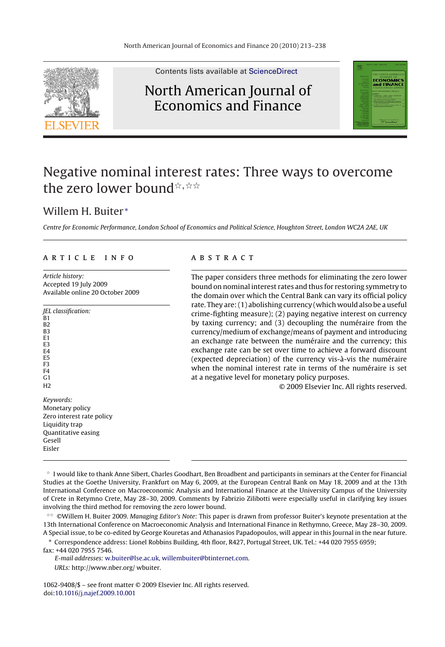

Contents lists available at [ScienceDirect](http://www.sciencedirect.com/science/journal/10629408)

# North American Journal of Economics and Finance



# Negative nominal interest rates: Three ways to overcome the zero lower bound $\stackrel{\star}{\mathbf{\scriptstyle{\kappa}}},\stackrel{\star}{\mathbf{\scriptstyle{\kappa}}}$

# Willem H. Buiter<sup>\*</sup>

Centre for Economic Performance, London School of Economics and Political Science, Houghton Street, London WC2A 2AE, UK

# article info

Article history: Accepted 19 July 2009 Available online 20 October 2009

 $R1$ B2 B3 E<sub>1</sub> E3 E4 E5 F3 F4  $C<sub>1</sub>$  $H<sub>2</sub>$ Keywords: Monetary policy Zero interest rate policy Liquidity trap Quantitative easing Gesell Eisler

JEL classification:

# **ABSTRACT**

The paper considers three methods for eliminating the zero lower bound on nominal interest rates and thus for restoring symmetry to the domain over which the Central Bank can vary its official policy rate. They are: (1) abolishing currency (which would also be a useful crime-fighting measure); (2) paying negative interest on currency by taxing currency; and (3) decoupling the numéraire from the currency/medium of exchange/means of payment and introducing an exchange rate between the numéraire and the currency; this exchange rate can be set over time to achieve a forward discount (expected depreciation) of the currency vis-à-vis the numéraire when the nominal interest rate in terms of the numéraire is set at a negative level for monetary policy purposes.

© 2009 Elsevier Inc. All rights reserved.

∗ Correspondence address: Lionel Robbins Building, 4th floor, R427, Portugal Street, UK. Tel.: +44 020 7955 6959;

fax: +44 020 7955 7546.

E-mail addresses: [w.buiter@lse.ac.uk](mailto:w.buiter@lse.ac.uk), [willembuiter@btinternet.com.](mailto:willembuiter@btinternet.com) URLs: http://www.nber.org/ wbuiter.

1062-9408/\$ – see front matter © 2009 Elsevier Inc. All rights reserved. doi:[10.1016/j.najef.2009.10.001](dx.doi.org/10.1016/j.najef.2009.10.001)

 $*$  I would like to thank Anne Sibert, Charles Goodhart, Ben Broadbent and participants in seminars at the Center for Financial Studies at the Goethe University, Frankfurt on May 6, 2009, at the European Central Bank on May 18, 2009 and at the 13th International Conference on Macroeconomic Analysis and International Finance at the University Campus of the University of Crete in Retymno Crete, May 28–30, 2009. Comments by Fabrizio Zilibotti were especially useful in clarifying key issues involving the third method for removing the zero lower bound.

<sup>\*\* ©</sup>Willem H. Buiter 2009. Managing Editor's Note: This paper is drawn from professor Buiter's keynote presentation at the 13th International Conference on Macroeconomic Analysis and International Finance in Rethymno, Greece, May 28–30, 2009. A Special issue, to be co-edited by George Kouretas and Athanasios Papadopoulos, will appear in this Journal in the near future.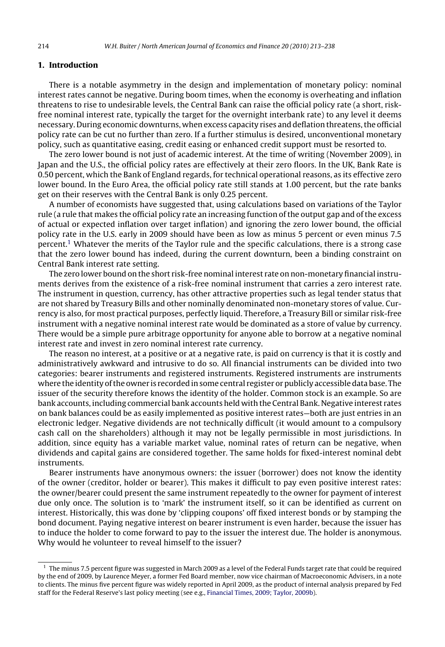# **1. Introduction**

There is a notable asymmetry in the design and implementation of monetary policy: nominal interest rates cannot be negative. During boom times, when the economy is overheating and inflation threatens to rise to undesirable levels, the Central Bank can raise the official policy rate (a short, riskfree nominal interest rate, typically the target for the overnight interbank rate) to any level it deems necessary. During economic downturns, when excess capacity rises and deflation threatens, the official policy rate can be cut no further than zero. If a further stimulus is desired, unconventional monetary policy, such as quantitative easing, credit easing or enhanced credit support must be resorted to.

The zero lower bound is not just of academic interest. At the time of writing (November 2009), in Japan and the U.S., the official policy rates are effectively at their zero floors. In the UK, Bank Rate is 0.50 percent, which the Bank of England regards, for technical operational reasons, as its effective zero lower bound. In the Euro Area, the official policy rate still stands at 1.00 percent, but the rate banks get on their reserves with the Central Bank is only 0.25 percent.

A number of economists have suggested that, using calculations based on variations of the Taylor rule (a rule that makes the official policy rate an increasing function of the output gap and of the excess of actual or expected inflation over target inflation) and ignoring the zero lower bound, the official policy rate in the U.S. early in 2009 should have been as low as minus 5 percent or even minus 7.5  $percent<sup>1</sup>$  Whatever the merits of the Taylor rule and the specific calculations, there is a strong case that the zero lower bound has indeed, during the current downturn, been a binding constraint on Central Bank interest rate setting.

The zero lower bound on the short risk-free nominal interest rate on non-monetary financial instruments derives from the existence of a risk-free nominal instrument that carries a zero interest rate. The instrument in question, currency, has other attractive properties such as legal tender status that are not shared by Treasury Bills and other nominally denominated non-monetary stores of value. Currency is also, for most practical purposes, perfectly liquid. Therefore, a Treasury Bill or similar risk-free instrument with a negative nominal interest rate would be dominated as a store of value by currency. There would be a simple pure arbitrage opportunity for anyone able to borrow at a negative nominal interest rate and invest in zero nominal interest rate currency.

The reason no interest, at a positive or at a negative rate, is paid on currency is that it is costly and administratively awkward and intrusive to do so. All financial instruments can be divided into two categories: bearer instruments and registered instruments. Registered instruments are instruments where the identity of the owner is recorded in some central register or publicly accessible data base. The issuer of the security therefore knows the identity of the holder. Common stock is an example. So are bank accounts, including commercial bank accounts held with the Central Bank. Negative interest rates on bank balances could be as easily implemented as positive interest rates—both are just entries in an electronic ledger. Negative dividends are not technically difficult (it would amount to a compulsory cash call on the shareholders) although it may not be legally permissible in most jurisdictions. In addition, since equity has a variable market value, nominal rates of return can be negative, when dividends and capital gains are considered together. The same holds for fixed-interest nominal debt instruments.

Bearer instruments have anonymous owners: the issuer (borrower) does not know the identity of the owner (creditor, holder or bearer). This makes it difficult to pay even positive interest rates: the owner/bearer could present the same instrument repeatedly to the owner for payment of interest due only once. The solution is to 'mark' the instrument itself, so it can be identified as current on interest. Historically, this was done by 'clipping coupons' off fixed interest bonds or by stamping the bond document. Paying negative interest on bearer instrument is even harder, because the issuer has to induce the holder to come forward to pay to the issuer the interest due. The holder is anonymous. Why would he volunteer to reveal himself to the issuer?

 $1$  The minus 7.5 percent figure was suggested in March 2009 as a level of the Federal Funds target rate that could be required by the end of 2009, by Laurence Meyer, a former Fed Board member, now vice chairman of Macroeconomic Advisers, in a note to clients. The minus five percent figure was widely reported in April 2009, as the product of internal analysis prepared by Fed staff for the Federal Reserve's last policy meeting (see e.g., [Financial Times, 2009; Taylor, 2009b\).](#page-24-0)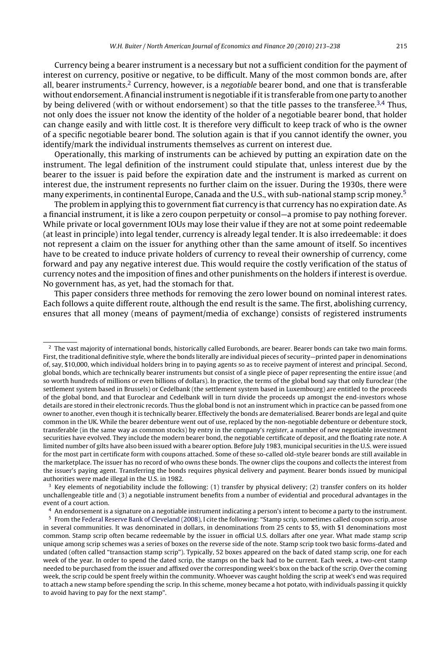Currency being a bearer instrument is a necessary but not a sufficient condition for the payment of interest on currency, positive or negative, to be difficult. Many of the most common bonds are, after all, bearer instruments.<sup>2</sup> Currency, however, is a negotiable bearer bond, and one that is transferable without endorsement. A financial instrument is negotiable if it is transferable from one party to another by being delivered (with or without endorsement) so that the title passes to the transferee.<sup>3,4</sup> Thus, not only does the issuer not know the identity of the holder of a negotiable bearer bond, that holder can change easily and with little cost. It is therefore very difficult to keep track of who is the owner of a specific negotiable bearer bond. The solution again is that if you cannot identify the owner, you identify/mark the individual instruments themselves as current on interest due.

Operationally, this marking of instruments can be achieved by putting an expiration date on the instrument. The legal definition of the instrument could stipulate that, unless interest due by the bearer to the issuer is paid before the expiration date and the instrument is marked as current on interest due, the instrument represents no further claim on the issuer. During the 1930s, there were many experiments, in continental Europe, Canada and the U.S., with sub-national stamp scrip money.<sup>5</sup>

The problem in applying this to government fiat currency is that currency has no expiration date. As a financial instrument, it is like a zero coupon perpetuity or consol—a promise to pay nothing forever. While private or local government IOUs may lose their value if they are not at some point redeemable (at least in principle) into legal tender, currency is already legal tender. It is also irredeemable: it does not represent a claim on the issuer for anything other than the same amount of itself. So incentives have to be created to induce private holders of currency to reveal their ownership of currency, come forward and pay any negative interest due. This would require the costly verification of the status of currency notes and the imposition of fines and other punishments on the holders if interest is overdue. No government has, as yet, had the stomach for that.

This paper considers three methods for removing the zero lower bound on nominal interest rates. Each follows a quite different route, although the end result is the same. The first, abolishing currency, ensures that all money (means of payment/media of exchange) consists of registered instruments

<sup>3</sup> Key elements of negotiability include the following: (1) transfer by physical delivery; (2) transfer confers on its holder unchallengeable title and (3) a negotiable instrument benefits from a number of evidential and procedural advantages in the event of a court action.

<sup>4</sup> An endorsement is a signature on a negotiable instrument indicating a person's intent to become a party to the instrument.

<sup>&</sup>lt;sup>2</sup> The vast majority of international bonds, historically called Eurobonds, are bearer. Bearer bonds can take two main forms. First, the traditional definitive style, where the bonds literally are individual pieces of security—printed paper in denominations of, say, \$10,000, which individual holders bring in to paying agents so as to receive payment of interest and principal. Second, global bonds, which are technically bearer instruments but consist of a single piece of paper representing the entire issue (and so worth hundreds of millions or even billions of dollars). In practice, the terms of the global bond say that only Euroclear (the settlement system based in Brussels) or Cedelbank (the settlement system based in Luxembourg) are entitled to the proceeds of the global bond, and that Euroclear and Cedelbank will in turn divide the proceeds up amongst the end-investors whose details are stored in their electronic records. Thus the global bond is not an instrument which in practice can be passed from one owner to another, even though it is technically bearer. Effectively the bonds are dematerialised. Bearer bonds are legal and quite common in the UK. While the bearer debenture went out of use, replaced by the non-negotiable debenture or debenture stock, transferable (in the same way as common stocks) by entry in the company's register, a number of new negotiable investment securities have evolved. They include the modern bearer bond, the negotiable certificate of deposit, and the floating rate note. A limited number of gilts have also been issued with a bearer option. Before July 1983, municipal securities in the U.S. were issued for the most part in certificate form with coupons attached. Some of these so-called old-style bearer bonds are still available in the marketplace. The issuer has no record of who owns these bonds. The owner clips the coupons and collects the interest from the issuer's paying agent. Transferring the bonds requires physical delivery and payment. Bearer bonds issued by municipal authorities were made illegal in the U.S. in 1982.

<sup>5</sup> From the [Federal Reserve Bank of Cleveland \(2008\), I](#page-24-0) cite the following: "Stamp scrip, sometimes called coupon scrip, arose in several communities. It was denominated in dollars, in denominations from 25 cents to \$5, with \$1 denominations most common. Stamp scrip often became redeemable by the issuer in official U.S. dollars after one year. What made stamp scrip unique among scrip schemes was a series of boxes on the reverse side of the note. Stamp scrip took two basic forms-dated and undated (often called "transaction stamp scrip"). Typically, 52 boxes appeared on the back of dated stamp scrip, one for each week of the year. In order to spend the dated scrip, the stamps on the back had to be current. Each week, a two-cent stamp needed to be purchased from the issuer and affixed over the corresponding week's box on the back of the scrip. Over the coming week, the scrip could be spent freely within the community. Whoever was caught holding the scrip at week's end was required to attach a new stamp before spending the scrip. In this scheme, money became a hot potato, with individuals passing it quickly to avoid having to pay for the next stamp".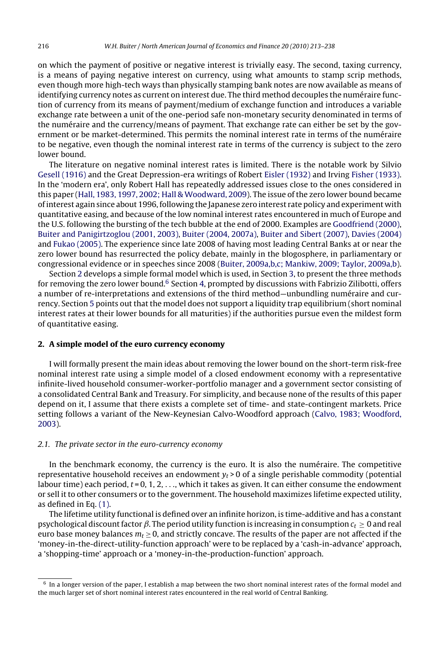<span id="page-3-0"></span>on which the payment of positive or negative interest is trivially easy. The second, taxing currency, is a means of paying negative interest on currency, using what amounts to stamp scrip methods, even though more high-tech ways than physically stamping bank notes are now available as means of identifying currency notes as current on interest due. The third method decouples the numéraire function of currency from its means of payment/medium of exchange function and introduces a variable exchange rate between a unit of the one-period safe non-monetary security denominated in terms of the numéraire and the currency/means of payment. That exchange rate can either be set by the government or be market-determined. This permits the nominal interest rate in terms of the numéraire to be negative, even though the nominal interest rate in terms of the currency is subject to the zero lower bound.

The literature on negative nominal interest rates is limited. There is the notable work by Silvio [Gesell \(1916\)](#page-24-0) and the Great Depression-era writings of Robert [Eisler \(1932\)](#page-24-0) and Irving [Fisher \(1933\).](#page-24-0) In the 'modern era', only Robert Hall has repeatedly addressed issues close to the ones considered in this paper [\(Hall, 1983, 1997, 2002; Hall & Woodward, 2009\).](#page-24-0) The issue of the zero lower bound became of interest again since about 1996, following the Japanese zero interest rate policy and experiment with quantitative easing, and because of the low nominal interest rates encountered in much of Europe and the U.S. following the bursting of the tech bubble at the end of 2000. Examples are [Goodfriend \(2000\),](#page-24-0) [Buiter and Panigirtzoglou \(2001, 2003\),](#page-24-0) [Buiter \(2004, 2007a\),](#page-24-0) [Buiter and Sibert \(2007\),](#page-24-0) [Davies \(2004\)](#page-24-0) and [Fukao \(2005\). T](#page-24-0)he experience since late 2008 of having most leading Central Banks at or near the zero lower bound has resurrected the policy debate, mainly in the blogosphere, in parliamentary or congressional evidence or in speeches since 2008 ([Buiter, 2009a,b,c; Mankiw, 2009; Taylor, 2009a,b\).](#page-24-0)

Section 2 develops a simple formal model which is used, in Section [3, t](#page-9-0)o present the three methods for removing the zero lower bound.<sup>6</sup> Section [4, p](#page-19-0)rompted by discussions with Fabrizio Zilibotti, offers a number of re-interpretations and extensions of the third method—unbundling numéraire and currency. Section [5](#page-22-0) points out that the model does not support a liquidity trap equilibrium (short nominal interest rates at their lower bounds for all maturities) if the authorities pursue even the mildest form of quantitative easing.

# **2. A simple model of the euro currency economy**

I will formally present the main ideas about removing the lower bound on the short-term risk-free nominal interest rate using a simple model of a closed endowment economy with a representative infinite-lived household consumer-worker-portfolio manager and a government sector consisting of a consolidated Central Bank and Treasury. For simplicity, and because none of the results of this paper depend on it, I assume that there exists a complete set of time- and state-contingent markets. Price setting follows a variant of the New-Keynesian Calvo-Woodford approach [\(Calvo, 1983; Woodford,](#page-24-0) [2003\).](#page-24-0)

#### 2.1. The private sector in the euro-currency economy

In the benchmark economy, the currency is the euro. It is also the numéraire. The competitive representative household receives an endowment  $y_t > 0$  of a single perishable commodity (potential labour time) each period,  $t = 0, 1, 2, \ldots$ , which it takes as given. It can either consume the endowment or sell it to other consumers or to the government. The household maximizes lifetime expected utility, as defined in Eq. [\(1\).](#page-4-0)

The lifetime utility functional is defined over an infinite horizon, is time-additive and has a constant psychological discount factor  $\beta$ . The period utility function is increasing in consumption  $c_t > 0$  and real euro base money balances  $m_t \ge 0$ , and strictly concave. The results of the paper are not affected if the 'money-in-the-direct-utility-function approach' were to be replaced by a 'cash-in-advance' approach, a 'shopping-time' approach or a 'money-in-the-production-function' approach.

 $6$  In a longer version of the paper, I establish a map between the two short nominal interest rates of the formal model and the much larger set of short nominal interest rates encountered in the real world of Central Banking.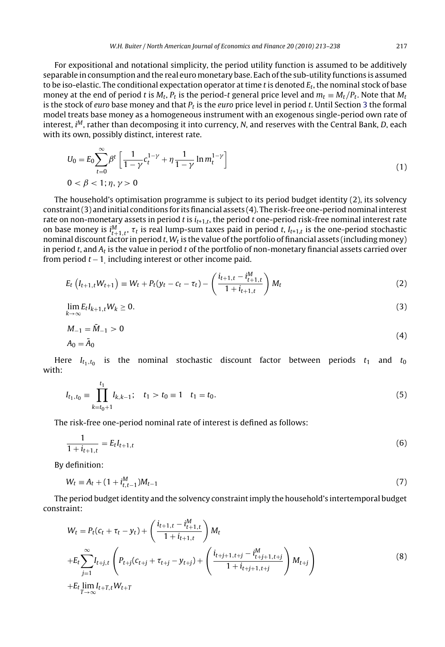<span id="page-4-0"></span>For expositional and notational simplicity, the period utility function is assumed to be additively separable in consumption and the real euro monetary base. Each of the sub-utility functions is assumed to be iso-elastic. The conditional expectation operator at time t is denoted  $E_t$ , the nominal stock of base money at the end of period t is  $M_t$ ,  $P_t$  is the period-t general price level and  $m_t \equiv M_t/P_t$ . Note that  $M_t$ is the stock of euro base money and that  $P_t$  is the euro price level in period t. Until Section [3](#page-9-0) the formal model treats base money as a homogeneous instrument with an exogenous single-period own rate of interest, i $^M$ , rather than decomposing it into currency, N, and reserves with the Central Bank, D, each with its own, possibly distinct, interest rate.

$$
U_0 = E_0 \sum_{t=0}^{\infty} \beta^t \left[ \frac{1}{1 - \gamma} c_t^{1 - \gamma} + \eta \frac{1}{1 - \gamma} \ln m_t^{1 - \gamma} \right]
$$
  
0 < \beta < 1; \eta, \gamma > 0 (1)

The household's optimisation programme is subject to its period budget identity (2), its solvency constraint (3) and initial conditions for its financial assets (4). The risk-free one-period nominal interest rate on non-monetary assets in period t is  $i_{t+1,t}$ , the period t one-period risk-free nominal interest rate on base money is  $i^M_{t+1,t}$ ,  $\tau_t$  is real lump-sum taxes paid in period t,  $I_{t+1,t}$  is the one-period stochastic<br>nominal discount factor in period t. W, is the value of the portfolio of financial assets (including mone nominal discount factor in period t,  $W_t$  is the value of the portfolio of financial assets (including money) in period t, and  $A_t$  is the value in period t of the portfolio of non-monetary financial assets carried over from period  $t - 1$ , including interest or other income paid.

$$
E_t\left(I_{t+1,t}W_{t+1}\right) \equiv W_t + P_t(y_t - c_t - \tau_t) - \left(\frac{i_{t+1,t} - i_{t+1,t}^M}{1 + i_{t+1,t}}\right)M_t
$$
\n(2)

$$
\lim_{k\to\infty} E_t I_{k+1,t} W_k \ge 0. \tag{3}
$$

$$
M_{-1} = \bar{M}_{-1} > 0 \tag{4}
$$

$$
A_0 = \bar{A}_0
$$

Here  $I_{t_1,t_0}$  is the nominal stochastic discount factor between periods  $t_1$  and  $t_0$ with:

$$
I_{t_1,t_0} = \prod_{k=t_0+1}^{t_1} I_{k,k-1}; \quad t_1 > t_0 = 1 \quad t_1 = t_0.
$$
\n
$$
(5)
$$

The risk-free one-period nominal rate of interest is defined as follows:

$$
\frac{1}{1 + i_{t+1,t}} = E_t I_{t+1,t} \tag{6}
$$

By definition:

$$
W_t \equiv A_t + (1 + i_{t,t-1}^M)M_{t-1}
$$
\n(7)

The period budget identity and the solvency constraint imply the household's intertemporal budget constraint:

$$
W_{t} = P_{t}(c_{t} + \tau_{t} - y_{t}) + \left(\frac{i_{t+1,t} - i_{t+1,t}^{M}}{1 + i_{t+1,t}}\right)M_{t}
$$
  
+
$$
E_{t} \sum_{j=1}^{\infty} I_{t+j,t} \left(P_{t+j}(c_{t+j} + \tau_{t+j} - y_{t+j}) + \left(\frac{i_{t+j+1,t+j} - i_{t+j+1,t+j}^{M}}{1 + i_{t+j+1,t+j}}\right)M_{t+j}\right)
$$
  
+
$$
E_{t} \lim_{T \to \infty} I_{t+T,t}W_{t+T}
$$
 (8)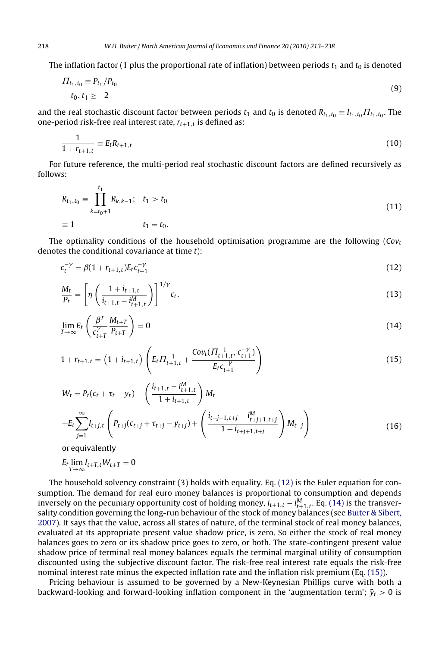The inflation factor (1 plus the proportional rate of inflation) between periods  $t_1$  and  $t_0$  is denoted

$$
\Pi_{t_1, t_0} \equiv P_{t_1} / P_{t_0}
$$
\n
$$
t_0, t_1 \ge -2
$$
\n(9)

and the real stochastic discount factor between periods  $t_1$  and  $t_0$  is denoted  $R_{t_1,t_0} = I_{t_1,t_0} \prod_{t_1,t_0}$ . The one-period risk-free real interest rate,  $r_{t+1,t}$  is defined as:

$$
\frac{1}{1 + r_{t+1,t}} \equiv E_t R_{t+1,t} \tag{10}
$$

For future reference, the multi-period real stochastic discount factors are defined recursively as follows:

$$
R_{t_1,t_0} \equiv \prod_{k=t_0+1}^{t_1} R_{k,k-1}; \quad t_1 > t_0
$$
  

$$
\equiv 1 \qquad t_1 = t_0.
$$
 (11)

The optimality conditions of the household optimisation programme are the following ( $Cov_t$ denotes the conditional covariance at time  $t$ ):

$$
c_t^{-\gamma} = \beta (1 + r_{t+1,t}) E_t c_{t+1}^{-\gamma}
$$
\n(12)

$$
\frac{M_t}{P_t} = \left[ \eta \left( \frac{1 + i_{t+1,t}}{i_{t+1,t} - i_{t+1,t}^M} \right) \right]^{1/\gamma} c_t.
$$
\n(13)

$$
\lim_{T \to \infty} E_t \left( \frac{\beta^T}{c_{t+T}^{\gamma}} \frac{M_{t+T}}{P_{t+T}} \right) = 0 \tag{14}
$$

$$
1 + r_{t+1,t} = \left(1 + i_{t+1,t}\right) \left( E_t \Pi_{t+1,t}^{-1} + \frac{Cov_t(\Pi_{t+1,t}^{-1}, c_{t+1}^{-\gamma})}{E_t c_{t+1}^{-\gamma}} \right) \tag{15}
$$

$$
W_{t} = P_{t}(c_{t} + \tau_{t} - y_{t}) + \left(\frac{i_{t+1,t} - i_{t+1,t}^{M}}{1 + i_{t+1,t}}\right)M_{t}
$$
  
+
$$
E_{t}\sum_{j=1}^{\infty}I_{t+j,t}\left(P_{t+j}(c_{t+j} + \tau_{t+j} - y_{t+j}) + \left(\frac{i_{t+j+1,t+j} - i_{t+j+1,t+j}^{M}}{1 + i_{t+j+1,t+j}}\right)M_{t+j}\right)
$$
(16)

or equivalently

 $E_t \lim_{T\to\infty} I_{t+T,t} W_{t+T} = 0$ 

The household solvency constraint (3) holds with equality. Eq. (12) is the Euler equation for consumption. The demand for real euro money balances is proportional to consumption and depends inversely on the pecuniary opportunity cost of holding money,  $i_{t+1,t} - i_{t+1,t}^W$ . Eq. (14) is the transver-<br>sality condition governing the long-run behaviour of the stock of money balances (see Buiter & Sibert sality condition governing the long-run behaviour of the stock of money balances (see [Buiter & Sibert,](#page-24-0) [2007\).](#page-24-0) It says that the value, across all states of nature, of the terminal stock of real money balances, evaluated at its appropriate present value shadow price, is zero. So either the stock of real money balances goes to zero or its shadow price goes to zero, or both. The state-contingent present value shadow price of terminal real money balances equals the terminal marginal utility of consumption discounted using the subjective discount factor. The risk-free real interest rate equals the risk-free nominal interest rate minus the expected inflation rate and the inflation risk premium (Eq. (15)).

Pricing behaviour is assumed to be governed by a New-Keynesian Phillips curve with both a backward-looking and forward-looking inflation component in the 'augmentation term';  $\bar{y}_t > 0$  is

<span id="page-5-0"></span>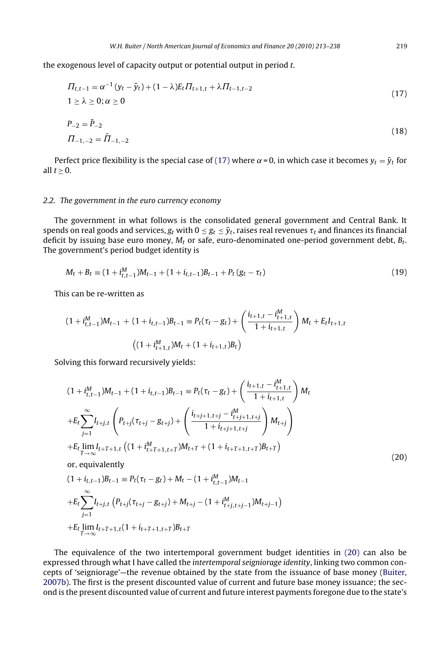<span id="page-6-0"></span>the exogenous level of capacity output or potential output in period t.

$$
\Pi_{t,t-1} = \alpha^{-1} (y_t - \bar{y}_t) + (1 - \lambda) E_t \Pi_{t+1,t} + \lambda \Pi_{t-1,t-2}
$$
\n
$$
1 \ge \lambda \ge 0; \alpha \ge 0 \tag{17}
$$

$$
P_{-2} = \bar{P}_{-2}
$$
  
\n
$$
\Pi_{-1,-2} = \bar{\Pi}_{-1,-2}
$$
\n(18)

Perfect price flexibility is the special case of (17) where  $\alpha$  = 0, in which case it becomes  $y_t = \bar{y}_t$  for all  $t > 0$ .

### 2.2. The government in the euro currency economy

The government in what follows is the consolidated general government and Central Bank. It spends on real goods and services,  $g_t$  with  $0 \le g_t \le \bar{y}_t$ , raises real revenues  $\tau_t$  and finances its financial deficit by issuing base euro money,  $M_t$  or safe, euro-denominated one-period government debt,  $B_t$ . The government's period budget identity is

$$
M_t + B_t \equiv (1 + i_{t,t-1}^M)M_{t-1} + (1 + i_{t,t-1})B_{t-1} + P_t(g_t - \tau_t)
$$
\n(19)

 $\mathbb{R}^2$ 

This can be re-written as

$$
(1 + i_{t,t-1}^{M})M_{t-1} + (1 + i_{t,t-1})B_{t-1} \equiv P_t(\tau_t - g_t) + \left(\frac{i_{t+1,t} - i_{t+1,t}^{M}}{1 + i_{t+1,t}}\right)M_t + E_t I_{t+1,t}
$$

$$
((1 + i_{t+1,t}^{M})M_t + (1 + i_{t+1,t})B_t)
$$

Solving this forward recursively yields:

 $\mathbb{R}^2$ 

$$
(1 + i_{t,t-1}^{M})M_{t-1} + (1 + i_{t,t-1})B_{t-1} = P_{t}(\tau_{t} - g_{t}) + \left(\frac{i_{t+1,t} - i_{t+1,t}^{M}}{1 + i_{t+1,t}}\right)M_{t}
$$
  
+ 
$$
E_{t}\sum_{j=1}^{\infty}I_{t+j,t}\left(P_{t+j}(\tau_{t+j} - g_{t+j}) + \left(\frac{i_{t+j+1,t+j} - i_{t+j+1,t+j}^{M}}{1 + i_{t+j+1,t+j}}\right)M_{t+j}\right)
$$
  
+ 
$$
E_{t}\lim_{T\to\infty}I_{t+T+1,t}\left((1 + i_{t+T+1,t+T}^{M})M_{t+T} + (1 + i_{t+T+1,t+T})B_{t+T}\right)
$$
  
or, equivalently (20)

$$
(1 + i_{t,t-1})B_{t-1} = P_t(\tau_t - g_t) + M_t - (1 + i_{t,t-1}^M)M_{t-1}
$$
  
+
$$
E_t \sum_{j=1}^{\infty} I_{t+j,t} (P_{t+j}(\tau_{t+j} - g_{t+j}) + M_{t+j} - (1 + i_{t+j,t+j-1}^M)M_{t+j-1})
$$
  
+
$$
E_t \lim_{T \to \infty} I_{t+T+1,t} (1 + i_{t+T+1,t+T})B_{t+T}
$$

The equivalence of the two intertemporal government budget identities in (20) can also be expressed through what I have called the intertemporal seigniorage identity, linking two common concepts of 'seigniorage'—the revenue obtained by the state from the issuance of base money ([Buiter,](#page-24-0) [2007b\).](#page-24-0) The first is the present discounted value of current and future base money issuance; the second is the present discounted value of current and future interest payments foregone due to the state's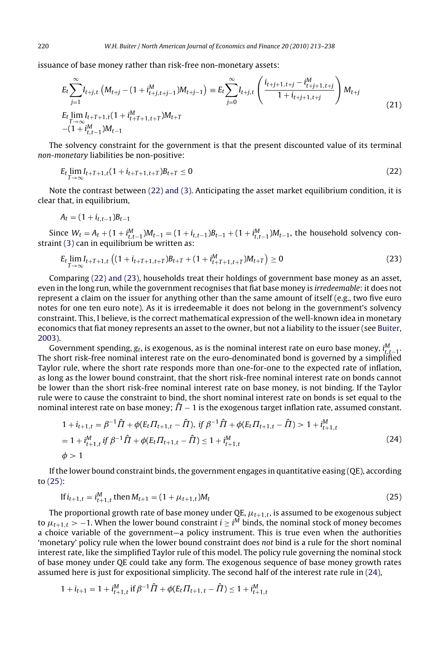<span id="page-7-0"></span>issuance of base money rather than risk-free non-monetary assets:

$$
E_{t} \sum_{j=1}^{\infty} I_{t+j,t} \left( M_{t+j} - (1 + i_{t+j,t+j-1}^{M}) M_{t+j-1} \right) \equiv E_{t} \sum_{j=0}^{\infty} I_{t+j,t} \left( \frac{i_{t+j+1,t+j} - i_{t+j+1,t+j}^{M}}{1 + i_{t+j+1,t+j}} \right) M_{t+j}
$$
\n
$$
= E_{t} \lim_{T \to \infty} I_{t+T+1,t} \left( 1 + i_{t+T+1,t+T}^{M} \right) M_{t+T}
$$
\n
$$
- (1 + i_{t,t-1}^{M}) M_{t-1}
$$
\n
$$
(21)
$$

The solvency constraint for the government is that the present discounted value of its terminal non-monetary liabilities be non-positive:

$$
E_t \lim_{T \to \infty} I_{t+T+1,t}(1 + i_{t+T+1,t+T})B_{t+T} \le 0
$$
\n(22)

Note the contrast between (22) and (3). Anticipating the asset market equilibrium condition, it is clear that, in equilibrium,

$$
A_t = (1 + i_{t,t-1})B_{t-1}
$$

Since  $W_t = A_t + (1 + i_{t,t-1}^M)M_{t-1} = (1 + i_{t,t-1})B_{t-1} + (1 + i_{t,t-1}^M)M_{t-1}$ , the household solvency con-<br>aint (3) can in equilibrium be written as: straint [\(3\)](#page-4-0) can in equilibrium be written as:

$$
E_{t} \lim_{T \to \infty} I_{t+T+1,t} \left( (1 + i_{t+T+1,t+T}) B_{t+T} + (1 + i_{t+T+1,t+T}^{M}) M_{t+T} \right) \ge 0 \tag{23}
$$

Comparing (22) and (23), households treat their holdings of government base money as an asset, even in the long run, while the government recognises that fiat base money is irredeemable: it does not represent a claim on the issuer for anything other than the same amount of itself (e.g., two five euro notes for one ten euro note). As it is irredeemable it does not belong in the government's solvency constraint. This, I believe, is the correct mathematical expression of the well-known idea in monetary economics that fiat money represents an asset to the owner, but not a liability to the issuer (see [Buiter,](#page-24-0) [2003\).](#page-24-0)

Government spending, g<sub>t</sub>, is exogenous, as is the nominal interest rate on euro base money, i<sup>µ</sup>,t−1.<br>Intert risk-free nominal interest rate on the euro-denominated bond is governed by a simplified source the lot The short risk-free nominal interest rate on the euro-denominated bond is governed by a simplified Taylor rule, where the short rate responds more than one-for-one to the expected rate of inflation, as long as the lower bound constraint, that the short risk-free nominal interest rate on bonds cannot be lower than the short risk-free nominal interest rate on base money, is not binding. If the Taylor rule were to cause the constraint to bind, the short nominal interest rate on bonds is set equal to the nominal interest rate on base money;  $\hat{\Pi}$  – 1 is the exogenous target inflation rate, assumed constant.

$$
1 + i_{t+1,t} = \beta^{-1} \hat{\Pi} + \phi(E_t \Pi_{t+1,t} - \hat{\Pi}), \text{ if } \beta^{-1} \hat{\Pi} + \phi(E_t \Pi_{t+1,t} - \hat{\Pi}) > 1 + i_{t+1,t}^M
$$
  
= 
$$
1 + i_{t+1,t}^M \text{ if } \beta^{-1} \hat{\Pi} + \phi(E_t \Pi_{t+1,t} - \hat{\Pi}) \le 1 + i_{t+1,t}^M
$$
  

$$
\phi > 1
$$
 (24)

If the lower bound constraint binds, the government engages in quantitative easing (QE), according to (25):

If 
$$
i_{t+1,t} = i_{t+1,t}^M
$$
 then  $M_{t+1} = (1 + \mu_{t+1,t})M_t$  (25)

The proportional growth rate of base money under QE,  $\mu_{t+1,t}$ , is assumed to be exogenous subject to  $\mu_{t+1,t} > -1$ . When the lower bound constraint  $i \geq i^M$  binds, the nominal stock of money becomes a choice variable of the government applicy instrument. This is true even when the authorities a choice variable of the government—a policy instrument. This is true even when the authorities 'monetary' policy rule when the lower bound constraint does not bind is a rule for the short nominal interest rate, like the simplified Taylor rule of this model. The policy rule governing the nominal stock of base money under QE could take any form. The exogenous sequence of base money growth rates assumed here is just for expositional simplicity. The second half of the interest rate rule in (24),

$$
1 + i_{t+1} = 1 + i_{t+1,t}^M \text{ if } \beta^{-1} \hat{\Pi} + \phi(E_t \Pi_{t+1,t} - \hat{\Pi}) \le 1 + i_{t+1,t}^M
$$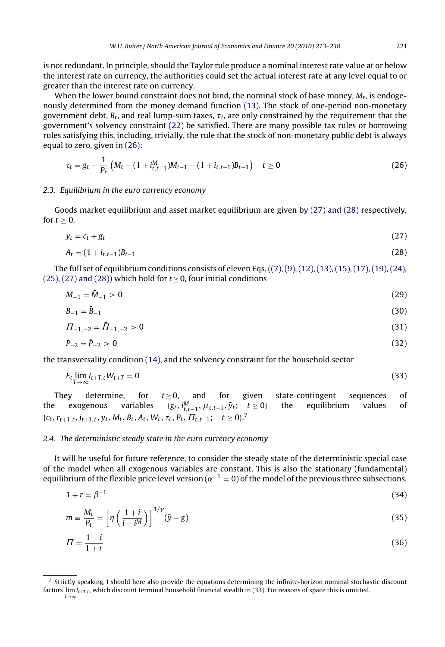<span id="page-8-0"></span>is not redundant. In principle, should the Taylor rule produce a nominal interest rate value at or below the interest rate on currency, the authorities could set the actual interest rate at any level equal to or greater than the interest rate on currency.

When the lower bound constraint does not bind, the nominal stock of base money,  $M_t$ , is endogenously determined from the money demand function [\(13\).](#page-5-0) The stock of one-period non-monetary government debt,  $B_t$ , and real lump-sum taxes,  $\tau_t$ , are only constrained by the requirement that the government's solvency constraint [\(22\)](#page-7-0) be satisfied. There are many possible tax rules or borrowing rules satisfying this, including, trivially, the rule that the stock of non-monetary public debt is always equal to zero, given in (26):

$$
\tau_t = g_t - \frac{1}{P_t} \left( M_t - (1 + i_{t,t-1}^M) M_{t-1} - (1 + i_{t,t-1}) B_{t-1} \right) \quad t \ge 0
$$
\n(26)

# 2.3. Equilibrium in the euro currency economy

Goods market equilibrium and asset market equilibrium are given by (27) and (28) respectively, for  $t \geq 0$ .

$$
y_t = c_t + g_t \tag{27}
$$

$$
A_t = (1 + i_{t,t-1})B_{t-1}
$$
\n(28)

The full set of equilibrium conditions consists of eleven Eqs.  $((7), (9), (12), (13), (15), (17), (19), (24),$ [\(25\), \(27\) and \(28\)\)](#page-4-0) which hold for  $t \ge 0$ , four initial conditions

$$
M_{-1} = \bar{M}_{-1} > 0 \tag{29}
$$

$$
B_{-1} = \bar{B}_{-1} \tag{30}
$$

$$
\Pi_{-1,-2} = \bar{\Pi}_{-1,-2} > 0 \tag{31}
$$

$$
P_{-2} = \bar{P}_{-2} > 0 \tag{32}
$$

the transversality condition [\(14\), a](#page-5-0)nd the solvency constraint for the household sector

$$
E_t \lim_{T \to \infty} I_{t+T,t} W_{t+T} = 0 \tag{33}
$$

They determine, for  $t \geq 0$ , and for given state-contingent sequences of the exogenous variables  $\{g_t, i_{t,t-1}^M, \mu_{t,t-1}, \bar{y}_t; t \ge 0\}$  the equilibrium values of  ${c_t, r_{t+1,t}, i_{t+1,t}, y_t, M_t, B_t, A_t, W_t, \tau_t, P_t, \Pi_{t,t-1}; \quad t \geq 0}$ 

# 2.4. The deterministic steady state in the euro currency economy

It will be useful for future reference, to consider the steady state of the deterministic special case of the model when all exogenous variables are constant. This is also the stationary (fundamental) equilibrium of the flexible price level version ( $\alpha^{-1} = 0$ ) of the model of the previous three subsections.

$$
1 + r = \beta^{-1} \tag{34}
$$

$$
m \equiv \frac{M_t}{P_t} = \left[ \eta \left( \frac{1+i}{i-i^M} \right) \right]^{1/\gamma} (\bar{y} - g) \tag{35}
$$

$$
\Pi = \frac{1+i}{1+r} \tag{36}
$$

 $7$  Strictly speaking, I should here also provide the equations determining the infinite-horizon nominal stochastic discount factors  $\lim I_{t+T,t}$ , which discount terminal household financial wealth in (33). For reasons of space this is omitted.<br> $\overline{I}\rightarrow\infty$  $T\rightarrow\infty$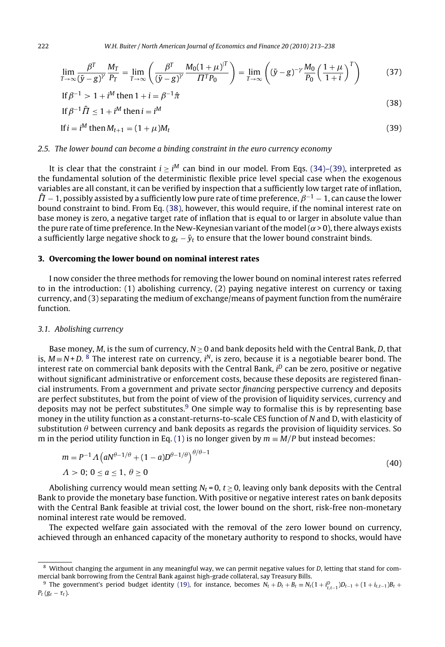<span id="page-9-0"></span>
$$
\lim_{T \to \infty} \frac{\beta^T}{(\bar{y} - g)^\gamma} \frac{M_T}{P_T} = \lim_{T \to \infty} \left( \frac{\beta^T}{(\bar{y} - g)^\gamma} \frac{M_0 (1 + \mu)^\gamma}{\Pi^T P_0} \right) = \lim_{T \to \infty} \left( (\bar{y} - g)^{-\gamma} \frac{M_0}{P_0} \left( \frac{1 + \mu}{1 + i} \right)^\gamma \right) \tag{37}
$$

If 
$$
\beta^{-1} > 1 + i^M
$$
 then  $1 + i = \beta^{-1}\hat{\pi}$   
If  $\beta^{-1}\hat{\Pi} \le 1 + i^M$  then  $i = i^M$  (38)

If 
$$
i = i^M
$$
 then  $M_{t+1} = (1 + \mu)M_t$  (39)

#### 2.5. The lower bound can become a binding constraint in the euro currency economy

It is clear that the constraint  $i \geq i^M$  can bind in our model. From Eqs. [\(34\)–\(39\), i](#page-8-0)nterpreted as<br>fundamental solution of the deterministic flexible price level special case when the exogenous the fundamental solution of the deterministic flexible price level special case when the exogenous variables are all constant, it can be verified by inspection that a sufficiently low target rate of inflation,  $\hat{\Pi}$  − 1, possibly assisted by a sufficiently low pure rate of time preference,  $\beta^{-1}$  – 1, can cause the lower bound constraint to bind. From Eq. (38), however, this would require, if the nominal interest rate on base money is zero, a negative target rate of inflation that is equal to or larger in absolute value than the pure rate of time preference. In the New-Keynesian variant of the model ( $\alpha$  > 0), there always exists a sufficiently large negative shock to  $g_t - \bar{y}_t$  to ensure that the lower bound constraint binds.

### **3. Overcoming the lower bound on nominal interest rates**

I now consider the three methods for removing the lower bound on nominal interest rates referred to in the introduction: (1) abolishing currency, (2) paying negative interest on currency or taxing currency, and (3) separating the medium of exchange/means of payment function from the numéraire function.

## 3.1. Abolishing currency

Base money, M, is the sum of currency,  $N \ge 0$  and bank deposits held with the Central Bank, D, that is,  $M \! \equiv \! N \! + \! D.$   $\! 8$  The interest rate on currency,  $i^\mathsf{N}$ , is zero, because it is a negotiable bearer bond. The interest rate on commercial bank deposits with the Central Bank,  $i^\mathsf{D}$  can be zero, positive or negative without significant administrative or enforcement costs, because these deposits are registered financial instruments. From a government and private sector financing perspective currency and deposits are perfect substitutes, but from the point of view of the provision of liquidity services, currency and deposits may not be perfect substitutes.<sup>9</sup> One simple way to formalise this is by representing base money in the utility function as a constant-returns-to-scale CES function of N and D, with elasticity of substitution  $\theta$  between currency and bank deposits as regards the provision of liquidity services. So m in the period utility function in Eq. [\(1\)](#page-4-0) is no longer given by  $m \equiv M/P$  but instead becomes:

$$
m = P^{-1} \Lambda \left( aN^{\theta - 1/\theta} + (1 - a)D^{\theta - 1/\theta} \right)^{\theta/\theta - 1}
$$
  
\n
$$
\Lambda > 0; 0 \le a \le 1, \theta \ge 0
$$
\n(40)

Abolishing currency would mean setting  $N_t = 0$ ,  $t \ge 0$ , leaving only bank deposits with the Central Bank to provide the monetary base function. With positive or negative interest rates on bank deposits with the Central Bank feasible at trivial cost, the lower bound on the short, risk-free non-monetary nominal interest rate would be removed.

The expected welfare gain associated with the removal of the zero lower bound on currency, achieved through an enhanced capacity of the monetary authority to respond to shocks, would have

 $8$  Without changing the argument in any meaningful way, we can permit negative values for D, letting that stand for commercial bank borrowing from the Central Bank against high-grade collateral, say Treasury Bills.

<sup>&</sup>lt;sup>9</sup> The government's period budget identity [\(19\),](#page-6-0) for instance, becomes  $N_t + D_t + B_t \equiv N_t(1 + i_{t,t-1}^D)D_{t-1} + (1 + i_{t,t-1})B_t +$  $P_t$  ( $g_t - \tau_t$ ).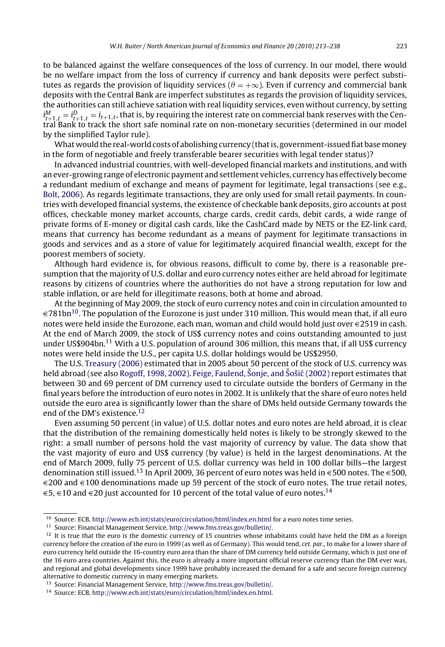to be balanced against the welfare consequences of the loss of currency. In our model, there would be no welfare impact from the loss of currency if currency and bank deposits were perfect substitutes as regards the provision of liquidity services ( $\theta = +\infty$ ). Even if currency and commercial bank deposits with the Central Bank are imperfect substitutes as regards the provision of liquidity services, the authorities can still achieve satiation with real liquidity services, even without currency, by setting  $\text{tral Bank to track the short safe nominal rate on non-monetary securities}$  (determined in our model  $\begin{array}{l} M^M = i^D_{t+1,t} = i_{t+1,t}$ , that is, by requiring the interest rate on commercial bank reserves with the Cen-<br>tal Bank to track the short safe nominal rate on non-monetary securities (determined in our model by the simplified Taylor rule).

What would the real-world costs of abolishing currency (that is, government-issued fiat basemoney in the form of negotiable and freely transferable bearer securities with legal tender status)?

In advanced industrial countries, with well-developed financial markets and institutions, and with an ever-growing range of electronic payment and settlement vehicles, currency has effectively become a redundant medium of exchange and means of payment for legitimate, legal transactions (see e.g., [Bolt, 2006\).](#page-24-0) As regards legitimate transactions, they are only used for small retail payments. In countries with developed financial systems, the existence of checkable bank deposits, giro accounts at post offices, checkable money market accounts, charge cards, credit cards, debit cards, a wide range of private forms of E-money or digital cash cards, like the CashCard made by NETS or the EZ-link card, means that currency has become redundant as a means of payment for legitimate transactions in goods and services and as a store of value for legitimately acquired financial wealth, except for the poorest members of society.

Although hard evidence is, for obvious reasons, difficult to come by, there is a reasonable presumption that the majority of U.S. dollar and euro currency notes either are held abroad for legitimate reasons by citizens of countries where the authorities do not have a strong reputation for low and stable inflation, or are held for illegitimate reasons, both at home and abroad.

At the beginning of May 2009, the stock of euro currency notes and coin in circulation amounted to  $\epsilon$ 781bn<sup>10</sup>. The population of the Eurozone is just under 310 million. This would mean that, if all euro notes were held inside the Eurozone, each man, woman and child would hold just over  $\epsilon$  2519 in cash. At the end of March 2009, the stock of US\$ currency notes and coins outstanding amounted to just under US\$904bn.<sup>11</sup> With a U.S. population of around 306 million, this means that, if all US\$ currency notes were held inside the U.S., per capita U.S. dollar holdings would be US\$2950.

The U.S. [Treasury \(2006\)](#page-25-0) estimated that in 2005 about 50 percent of the stock of U.S. currency was held abroad (see also [Rogoff, 1998, 2002\).](#page-24-0) [Feige, Faulend,](#page-24-0) [Sonje, and](#page-24-0) Sošić [\(2002\)](#page-24-0) report estimates that between 30 and 69 percent of DM currency used to circulate outside the borders of Germany in the final years before the introduction of euro notes in 2002. It is unlikely that the share of euro notes held outside the euro area is significantly lower than the share of DMs held outside Germany towards the end of the DM's existence.12

Even assuming 50 percent (in value) of U.S. dollar notes and euro notes are held abroad, it is clear that the distribution of the remaining domestically held notes is likely to be strongly skewed to the right: a small number of persons hold the vast majority of currency by value. The data show that the vast majority of euro and US\$ currency (by value) is held in the largest denominations. At the end of March 2009, fully 75 percent of U.S. dollar currency was held in 100 dollar bills—the largest denomination still issued.<sup>13</sup> In April 2009, 36 percent of euro notes was held in  $\epsilon$  500 notes. The  $\epsilon$  500,  $\in$  200 and  $\in$  100 denominations made up 59 percent of the stock of euro notes. The true retail notes,  $\epsilon$ 5,  $\epsilon$ 10 and  $\epsilon$ 20 just accounted for 10 percent of the total value of euro notes.<sup>14</sup>

<sup>10</sup> Source: ECB, <http://www.ecb.int/stats/euro/circulation/html/index.en.html> for a euro notes time series.

<sup>11</sup> Source: Financial Management Service, [http://www.fms.treas.gov/bulletin/.](http://www.fms.treas.gov/bulletin/)

 $12$  It is true that the euro is the domestic currency of 15 countries whose inhabitants could have held the DM as a foreign currency before the creation of the euro in 1999 (as well as of Germany). This would tend, cet. par., to make for a lower share of euro currency held outside the 16-country euro area than the share of DM currency held outside Germany, which is just one of the 16 euro area countries. Against this, the euro is already a more important official reserve currency than the DM ever was, and regional and global developments since 1999 have probably increased the demand for a safe and secure foreign currency alternative to domestic currency in many emerging markets.

<sup>13</sup> Source: Financial Management Service, [http://www.fms.treas.gov/bulletin/.](http://www.fms.treas.gov/bulletin/)

<sup>14</sup> Source: ECB, [http://www.ecb.int/stats/euro/circulation/html/index.en.html.](http://www.ecb.int/stats/euro/circulation/html/index.en.html)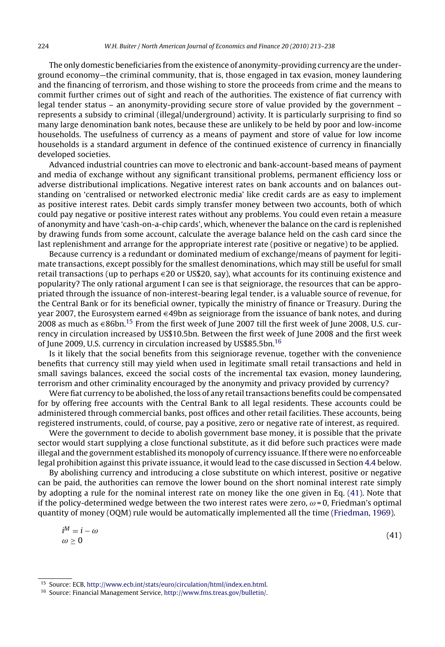<span id="page-11-0"></span>The only domestic beneficiaries from the existence of anonymity-providing currency are the underground economy—the criminal community, that is, those engaged in tax evasion, money laundering and the financing of terrorism, and those wishing to store the proceeds from crime and the means to commit further crimes out of sight and reach of the authorities. The existence of fiat currency with legal tender status – an anonymity-providing secure store of value provided by the government – represents a subsidy to criminal (illegal/underground) activity. It is particularly surprising to find so many large denomination bank notes, because these are unlikely to be held by poor and low-income households. The usefulness of currency as a means of payment and store of value for low income households is a standard argument in defence of the continued existence of currency in financially developed societies.

Advanced industrial countries can move to electronic and bank-account-based means of payment and media of exchange without any significant transitional problems, permanent efficiency loss or adverse distributional implications. Negative interest rates on bank accounts and on balances outstanding on 'centralised or networked electronic media' like credit cards are as easy to implement as positive interest rates. Debit cards simply transfer money between two accounts, both of which could pay negative or positive interest rates without any problems. You could even retain a measure of anonymity and have 'cash-on-a-chip cards', which, whenever the balance on the card is replenished by drawing funds from some account, calculate the average balance held on the cash card since the last replenishment and arrange for the appropriate interest rate (positive or negative) to be applied.

Because currency is a redundant or dominated medium of exchange/means of payment for legitimate transactions, except possibly for the smallest denominations, which may still be useful for small retail transactions (up to perhaps  $\in 20$  or US\$20, say), what accounts for its continuing existence and popularity? The only rational argument I can see is that seigniorage, the resources that can be appropriated through the issuance of non-interest-bearing legal tender, is a valuable source of revenue, for the Central Bank or for its beneficial owner, typically the ministry of finance or Treasury. During the year 2007, the Eurosystem earned  $\in$ 49bn as seigniorage from the issuance of bank notes, and during 2008 as much as  $\epsilon$ 86bn.<sup>15</sup> From the first week of June 2007 till the first week of June 2008, U.S. currency in circulation increased by US\$10.5bn. Between the first week of June 2008 and the first week of June 2009, U.S. currency in circulation increased by US\$85.5bn.<sup>16</sup>

Is it likely that the social benefits from this seigniorage revenue, together with the convenience benefits that currency still may yield when used in legitimate small retail transactions and held in small savings balances, exceed the social costs of the incremental tax evasion, money laundering, terrorism and other criminality encouraged by the anonymity and privacy provided by currency?

Were fiat currency to be abolished, the loss of any retail transactions benefits could be compensated for by offering free accounts with the Central Bank to all legal residents. These accounts could be administered through commercial banks, post offices and other retail facilities. These accounts, being registered instruments, could, of course, pay a positive, zero or negative rate of interest, as required.

Were the government to decide to abolish government base money, it is possible that the private sector would start supplying a close functional substitute, as it did before such practices were made illegal and the government established its monopoly of currency issuance. If there were no enforceable legal prohibition against this private issuance, it would lead to the case discussed in Section [4.4](#page-21-0) below.

By abolishing currency and introducing a close substitute on which interest, positive or negative can be paid, the authorities can remove the lower bound on the short nominal interest rate simply by adopting a rule for the nominal interest rate on money like the one given in Eq. (41). Note that if the policy-determined wedge between the two interest rates were zero,  $\omega = 0$ , Friedman's optimal quantity of money (OQM) rule would be automatically implemented all the time [\(Friedman, 1969\).](#page-24-0)

$$
i^M = i - \omega \tag{41}
$$
\n
$$
\omega \ge 0
$$

<sup>15</sup> Source: ECB, <http://www.ecb.int/stats/euro/circulation/html/index.en.html>.

<sup>16</sup> Source: Financial Management Service, <http://www.fms.treas.gov/bulletin/>.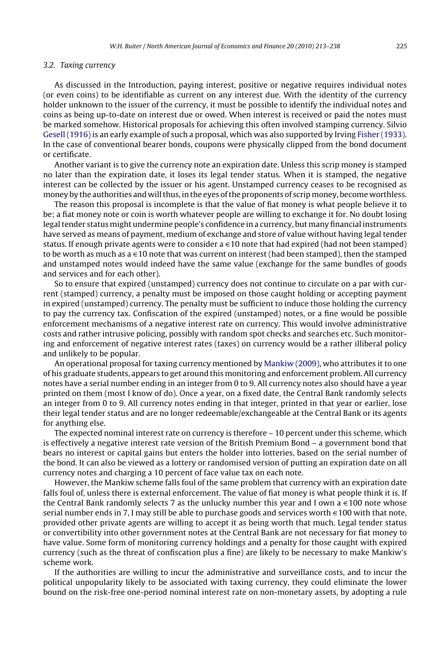#### 3.2. Taxing currency

As discussed in the Introduction, paying interest, positive or negative requires individual notes (or even coins) to be identifiable as current on any interest due. With the identity of the currency holder unknown to the issuer of the currency, it must be possible to identify the individual notes and coins as being up-to-date on interest due or owed. When interest is received or paid the notes must be marked somehow. Historical proposals for achieving this often involved stamping currency. Silvio [Gesell \(1916\)](#page-24-0) is an early example of such a proposal, which was also supported by Irving [Fisher \(1933\).](#page-24-0) In the case of conventional bearer bonds, coupons were physically clipped from the bond document or certificate.

Another variant is to give the currency note an expiration date. Unless this scrip money is stamped no later than the expiration date, it loses its legal tender status. When it is stamped, the negative interest can be collected by the issuer or his agent. Unstamped currency ceases to be recognised as money by the authorities and will thus, in the eyes of the proponents of scripmoney, become worthless.

The reason this proposal is incomplete is that the value of fiat money is what people believe it to be; a fiat money note or coin is worth whatever people are willing to exchange it for. No doubt losing legal tender status might undermine people's confidence in a currency, but many financial instruments have served as means of payment, medium of exchange and store of value without having legal tender status. If enough private agents were to consider a  $\in$  10 note that had expired (had not been stamped) to be worth as much as a  $\in$  10 note that was current on interest (had been stamped), then the stamped and unstamped notes would indeed have the same value (exchange for the same bundles of goods and services and for each other).

So to ensure that expired (unstamped) currency does not continue to circulate on a par with current (stamped) currency, a penalty must be imposed on those caught holding or accepting payment in expired (unstamped) currency. The penalty must be sufficient to induce those holding the currency to pay the currency tax. Confiscation of the expired (unstamped) notes, or a fine would be possible enforcement mechanisms of a negative interest rate on currency. This would involve administrative costs and rather intrusive policing, possibly with random spot checks and searches etc. Such monitoring and enforcement of negative interest rates (taxes) on currency would be a rather illiberal policy and unlikely to be popular.

An operational proposal for taxing currency mentioned by [Mankiw \(2009\), w](#page-24-0)ho attributes it to one of his graduate students, appears to get around this monitoring and enforcement problem. All currency notes have a serial number ending in an integer from 0 to 9. All currency notes also should have a year printed on them (most I know of do). Once a year, on a fixed date, the Central Bank randomly selects an integer from 0 to 9. All currency notes ending in that integer, printed in that year or earlier, lose their legal tender status and are no longer redeemable/exchangeable at the Central Bank or its agents for anything else.

The expected nominal interest rate on currency is therefore – 10 percent under this scheme, which is effectively a negative interest rate version of the British Premium Bond – a government bond that bears no interest or capital gains but enters the holder into lotteries, based on the serial number of the bond. It can also be viewed as a lottery or randomised version of putting an expiration date on all currency notes and charging a 10 percent of face value tax on each note.

However, the Mankiw scheme falls foul of the same problem that currency with an expiration date falls foul of, unless there is external enforcement. The value of fiat money is what people think it is. If the Central Bank randomly selects 7 as the unlucky number this year and I own a  $\epsilon$  100 note whose serial number ends in 7, I may still be able to purchase goods and services worth  $\in$  100 with that note, provided other private agents are willing to accept it as being worth that much. Legal tender status or convertibility into other government notes at the Central Bank are not necessary for fiat money to have value. Some form of monitoring currency holdings and a penalty for those caught with expired currency (such as the threat of confiscation plus a fine) are likely to be necessary to make Mankiw's scheme work.

If the authorities are willing to incur the administrative and surveillance costs, and to incur the political unpopularity likely to be associated with taxing currency, they could eliminate the lower bound on the risk-free one-period nominal interest rate on non-monetary assets, by adopting a rule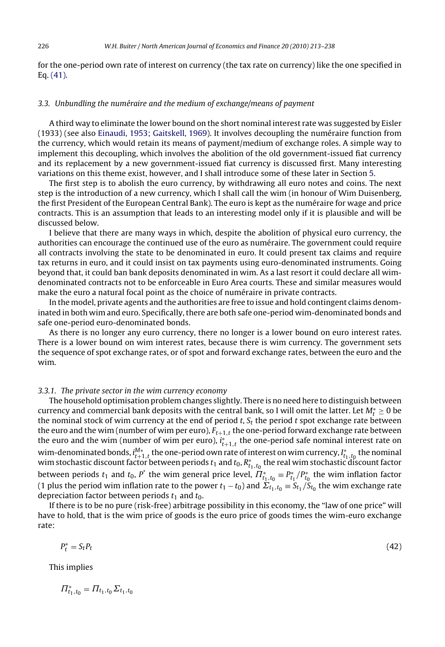<span id="page-13-0"></span>for the one-period own rate of interest on currency (the tax rate on currency) like the one specified in Eq. [\(41\).](#page-11-0)

# 3.3. Unbundling the numéraire and the medium of exchange/means of payment

A third way to eliminate the lower bound on the short nominal interest rate was suggested by Eisler (1933) (see also [Einaudi, 1953; Gaitskell, 1969\).](#page-24-0) It involves decoupling the numéraire function from the currency, which would retain its means of payment/medium of exchange roles. A simple way to implement this decoupling, which involves the abolition of the old government-issued fiat currency and its replacement by a new government-issued fiat currency is discussed first. Many interesting variations on this theme exist, however, and I shall introduce some of these later in Section [5.](#page-22-0)

The first step is to abolish the euro currency, by withdrawing all euro notes and coins. The next step is the introduction of a new currency, which I shall call the wim (in honour of Wim Duisenberg, the first President of the European Central Bank). The euro is kept as the numéraire for wage and price contracts. This is an assumption that leads to an interesting model only if it is plausible and will be discussed below.

I believe that there are many ways in which, despite the abolition of physical euro currency, the authorities can encourage the continued use of the euro as numéraire. The government could require all contracts involving the state to be denominated in euro. It could present tax claims and require tax returns in euro, and it could insist on tax payments using euro-denominated instruments. Going beyond that, it could ban bank deposits denominated in wim. As a last resort it could declare all wimdenominated contracts not to be enforceable in Euro Area courts. These and similar measures would make the euro a natural focal point as the choice of numéraire in private contracts.

In the model, private agents and the authorities are free to issue and hold contingent claims denominated in both wim and euro. Specifically, there are both safe one-period wim-denominated bonds and safe one-period euro-denominated bonds.

As there is no longer any euro currency, there no longer is a lower bound on euro interest rates. There is a lower bound on wim interest rates, because there is wim currency. The government sets the sequence of spot exchange rates, or of spot and forward exchange rates, between the euro and the wim.

#### 3.3.1. The private sector in the wim currency economy

The household optimisation problem changes slightly. There is no need here to distinguish between currency and commercial bank deposits with the central bank, so I will omit the latter. Let  $M_t^* \ge 0$  be the pominal stock of wim currency at the end of period t. S. the period t spot exchange rate between the nominal stock of wim currency at the end of period  $t$ ,  $S_t$  the period  $t$  spot exchange rate between the euro and the wim (number of wim per euro),  $F_{t+1,t}$  the one-period forward exchange rate between the euro and the wim (number of wim per euro),  $i_{t+1,t}^*$  the one-period safe nominal interest rate on<br>wim denominated bonds  $i^{M*}$  the one period our nate of interest on wim gurrengy  $i^*$  the nominal wim-denominated bonds,  $i_{t+1,t}^{M*}$  the one-period own rate of interest on wim currency,  $I_{t_1,t_0}^*$  the nominal wim stochastic discount factor wim stochastic discount factor between periods  $t_1$  and  $t_0$ ,  $R_{t_1,t_0}^*$  the real wim stochastic discount factor<br>between periods to real to  $R^*$  the suite general prior law  $H^*$  and  $R^*$  ( $R^*$  the suite inflation between periods  $t_1$  and  $t_0$ ,  $P^*$  the wim general price level,  $\Pi_{t_1,t_0}^* \equiv P_{t_1}^*/P_{t_0}^*$  the wim inflation factor  $t_1$ , the use is the power  $t_1$ , the  $\Gamma_{t_1,t_0} = \frac{P_{t_1}^*}{P_{t_0}}$  is the wim exchange rate (1 plus the period wim inflation rate to the power  $t_1 - t_0$ ) and  $\Sigma_{t_1,t_0} \equiv S_{t_1}/S_{t_0}$  the wim exchange rate depreciation factor between periods  $t_1$  and  $t_1$ . depreciation factor between periods  $t_1$  and  $t_0$ .

If there is to be no pure (risk-free) arbitrage possibility in this economy, the "law of one price" will have to hold, that is the wim price of goods is the euro price of goods times the wim-euro exchange rate:

$$
P_t^* = S_t P_t \tag{42}
$$

This implies

$$
\Pi_{t_1, t_0}^* = \Pi_{t_1, t_0} \Sigma_{t_1, t_0}
$$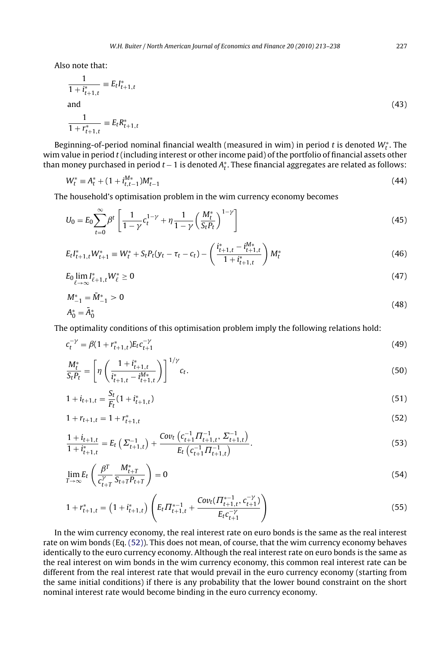<span id="page-14-0"></span>Also note that:

$$
\frac{1}{1 + i_{t+1,t}^*} = E_t I_{t+1,t}^*
$$
\nand\n
$$
\frac{1}{1 + r_{t+1,t}^*} = E_t R_{t+1,t}^*
$$
\n(43)

Beginning-of-period nominal financial wealth (measured in wim) in period t is denoted  $W_t^*$ . The<br>p value in period t(including interest or other income paid) of the portfolio of financial assets other wim value in period t (including interest or other income paid) of the portfolio of financial assets other than money purchased in period  $t-1$  is denoted  $A^*_t$ . These financial aggregates are related as follows:

$$
W_t^* = A_t^* + (1 + i_{t,t-1}^{M*})M_{t-1}^* \tag{44}
$$

The household's optimisation problem in the wim currency economy becomes

$$
U_0 = E_0 \sum_{t=0}^{\infty} \beta^t \left[ \frac{1}{1 - \gamma} c_t^{1 - \gamma} + \eta \frac{1}{1 - \gamma} \left( \frac{M_t^*}{S_t P_t} \right)^{1 - \gamma} \right]
$$
(45)

$$
E_t I_{t+1,t}^* W_{t+1}^* \equiv W_t^* + S_t P_t (y_t - \tau_t - c_t) - \left( \frac{i_{t+1,t}^* - i_{t+1,t}^{M*}}{1 + i_{t+1,t}^*} \right) M_t^* \tag{46}
$$

$$
E_0 \lim_{\ell \to \infty} I_{\ell+1,t}^* W_{\ell}^* \ge 0 \tag{47}
$$

$$
M_{-1}^* = \bar{M}_{-1}^* > 0\tag{48}
$$

$$
A_0^* = \bar{A}_0^*
$$

The optimality conditions of this optimisation problem imply the following relations hold:

$$
c_t^{-\gamma} = \beta (1 + r_{t+1,t}^*) E_t c_{t+1}^{-\gamma} \tag{49}
$$

$$
\frac{M_t^*}{S_t P_t} = \left[ \eta \left( \frac{1 + i_{t+1,t}^*}{i_{t+1,t}^* - i_{t+1,t}^{M*}} \right) \right]^{1/\gamma} c_t.
$$
\n(50)

$$
1 + i_{t+1,t} = \frac{S_t}{F_t} (1 + i_{t+1,t}^*)
$$
\n(51)

$$
1 + r_{t+1,t} = 1 + r_{t+1,t}^* \tag{52}
$$

$$
\frac{1+i_{t+1,t}}{1+i_{t+1,t}^*} = E_t \left( \Sigma_{t+1,t}^{-1} \right) + \frac{Cov_t \left( c_{t+1}^{-1} \Pi_{t+1,t}^{-1}, \Sigma_{t+1,t}^{-1} \right)}{E_t \left( c_{t+1}^{-1} \Pi_{t+1,t}^{-1} \right)}.
$$
\n(53)

$$
\lim_{T \to \infty} E_t \left( \frac{\beta^T}{c_{t+T}^{\gamma}} \frac{M_{t+T}^*}{S_{t+T} P_{t+T}} \right) = 0 \tag{54}
$$

$$
1 + r_{t+1,t}^{*} = \left(1 + i_{t+1,t}^{*}\right) \left( E_t \Pi_{t+1,t}^{* - 1} + \frac{Cov_t(\Pi_{t+1,t}^{* - 1}, c_{t+1}^{-\gamma})}{E_t c_{t+1}^{-\gamma}} \right)
$$
(55)

In the wim currency economy, the real interest rate on euro bonds is the same as the real interest rate on wim bonds (Eq. (52)). This does not mean, of course, that the wim currency economy behaves identically to the euro currency economy. Although the real interest rate on euro bonds is the same as the real interest on wim bonds in the wim currency economy, this common real interest rate can be different from the real interest rate that would prevail in the euro currency economy (starting from the same initial conditions) if there is any probability that the lower bound constraint on the short nominal interest rate would become binding in the euro currency economy.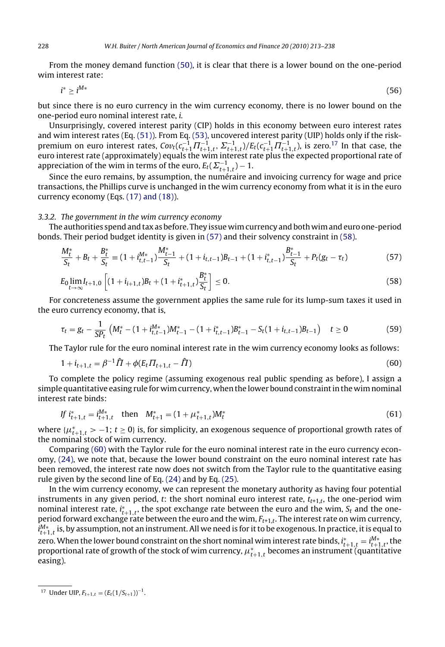From the money demand function [\(50\), i](#page-14-0)t is clear that there is a lower bound on the one-period wim interest rate:

$$
i^* \geq i^{M*} \tag{56}
$$

but since there is no euro currency in the wim currency economy, there is no lower bound on the one-period euro nominal interest rate, i.

Unsurprisingly, covered interest parity (CIP) holds in this economy between euro interest rates and wim interest rates (Eq. [\(51\)\).](#page-14-0) From Eq. [\(53\), u](#page-14-0)ncovered interest parity (UIP) holds only if the riskpremium on euro interest rates,  $Cov_t(c_{t+1}^{-1} \Pi_{t+1,t}^{-1}, \Sigma_{t+1,t}^{-1})/E_t(c_{t+1}^{-1} \Pi_{t+1,t}^{-1})$ , is zero.<sup>17</sup> In that case, the<br>euro interest rate (approximately) equals the wim interest rate plus the expected proportional ra euro interest rate (approximately) equals the wim interest rate plus the expected proportional rate of appreciation of the wim in terms of the euro,  $E_t(\Sigma_{t+1,t}^{-1}) - 1$ .<br>Since the euro remains, by assumption, the puméraire as

Since the euro remains, by assumption, the numéraire and invoicing currency for wage and price transactions, the Phillips curve is unchanged in the wim currency economy from what it is in the euro currency economy (Eqs. [\(17\) and \(18\)\).](#page-6-0)

### 3.3.2. The government in the wim currency economy

The authorities spend and tax as before. They issue wim currency and both wim and euro one-period bonds. Their period budget identity is given in (57) and their solvency constraint in (58).

$$
\frac{M_t^*}{S_t} + B_t + \frac{B_t^*}{S_t} \equiv (1 + i_{t,t-1}^{M*}) \frac{M_{t-1}^*}{S_t} + (1 + i_{t,t-1}) B_{t-1} + (1 + i_{t,t-1}^*) \frac{B_{t-1}^*}{S_t} + P_t (g_t - \tau_t)
$$
(57)

$$
E_0 \lim_{t \to \infty} I_{t+1,0} \left[ (1 + i_{i+1,t}) B_t + (1 + i_{t+1,t}^*) \frac{B_t^*}{S_t} \right] \le 0. \tag{58}
$$

For concreteness assume the government applies the same rule for its lump-sum taxes it used in the euro currency economy, that is,

$$
\tau_t = g_t - \frac{1}{SP_t} \left( M_t^* - (1 + i_{t,t-1}^{M*}) M_{t-1}^* - (1 + i_{t,t-1}^*) B_{t-1}^* - S_t (1 + i_{t,t-1}) B_{t-1} \right) \quad t \ge 0 \tag{59}
$$

The Taylor rule for the euro nominal interest rate in the wim currency economy looks as follows:

$$
1 + i_{t+1,t} = \beta^{-1} \hat{\Pi} + \phi(E_t \Pi_{t+1,t} - \hat{\Pi})
$$
\n(60)

To complete the policy regime (assuming exogenous real public spending as before), I assign a simple quantitative easing rule for wim currency, when the lower bound constraint in the wim nominal interest rate binds:

$$
\text{If } i_{t+1,t}^* = i_{t+1,t}^{M*} \quad \text{then} \quad M_{t+1}^* = (1 + \mu_{t+1,t}^*)M_t^* \tag{61}
$$

where  $\{\mu_{t+1,t}^*\geq -1;\ t\geq 0\}$  is, for simplicity, an exogenous sequence of proportional growth rates of the nominal stock of wim currency the nominal stock of wim currency.

Comparing (60) with the Taylor rule for the euro nominal interest rate in the euro currency economy, [\(24\), w](#page-7-0)e note that, because the lower bound constraint on the euro nominal interest rate has been removed, the interest rate now does not switch from the Taylor rule to the quantitative easing rule given by the second line of Eq. [\(24\)](#page-7-0) and by Eq. [\(25\).](#page-7-0)

In the wim currency economy, we can represent the monetary authority as having four potential instruments in any given period, t: the short nominal euro interest rate,  $t_{t+1,t}$ , the one-period wim nominal interest rate,  $i_{t+1,t}^*$ , the spot exchange rate between the euro and the wim,  $S_t$  and the one-<br>period forward exchange rate between the euro and the wim  $F_{t+1}$ . The interest rate on wim currency period forward exchange rate between the euro and the wim,  $F_{t+1,t}$ . The interest rate on wim currency,  $\frac{1}{2}$ <br>zero. When the lower bound constraint on the short nominal wim interest rate binds,  $i_{t+1,t}^* = i_{t+1,t}^{M*}$ , the<br>proportional rate of growth of the stock of wim currency  $u^*$  becomes an instrument (quantitative  $\frac{M*}{t+1,t}$  is, by assumption, not an instrument. All we need is for it to be exogenous. In practice, it is equal to<br>terms. When the lower bound constraint on the short nominal wim interest rate binds. i\* and interest t proportional rate of growth of the stock of wim currency,  $\mu^*_{t+1,t}$  becomes an instrument (quantitative<br>easing) easing).

<span id="page-15-0"></span>

<sup>&</sup>lt;sup>17</sup> Under UIP,  $F_{t+1,t} = (E_t(1/S_{t+1}))^{-1}$ .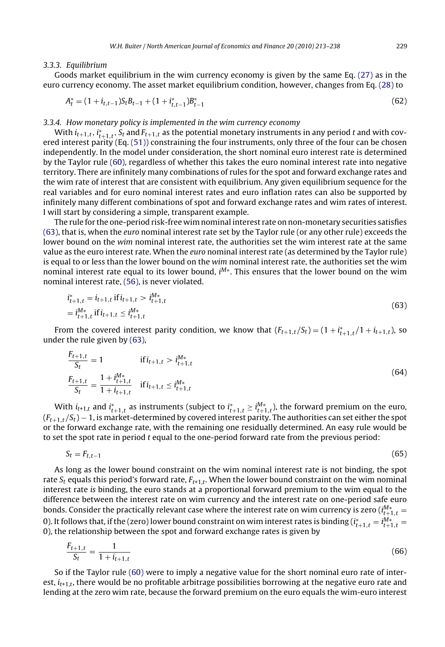#### 3.3.3. Equilibrium

Goods market equilibrium in the wim currency economy is given by the same Eq. [\(27\)](#page-8-0) as in the euro currency economy. The asset market equilibrium condition, however, changes from Eq. [\(28\)](#page-8-0) to

$$
A_t^* = (1 + i_{t,t-1})S_t B_{t-1} + (1 + i_{t,t-1}^*)B_{t-1}^*
$$
\n(62)

# 3.3.4. How monetary policy is implemented in the wim currency economy

With  $i_{t+1,t}$ ,  $i_{t+1,t}^*$ ,  $S_t$  and  $F_{t+1,t}$  as the potential monetary instruments in any period t and with cov-<br>d interest parity (Eq. (51)) constraining the four instruments, only three of the four can be chosen ered interest parity (Eq. [\(51\)\)](#page-14-0) constraining the four instruments, only three of the four can be chosen independently. In the model under consideration, the short nominal euro interest rate is determined by the Taylor rule [\(60\), r](#page-15-0)egardless of whether this takes the euro nominal interest rate into negative territory. There are infinitely many combinations of rules for the spot and forward exchange rates and the wim rate of interest that are consistent with equilibrium. Any given equilibrium sequence for the real variables and for euro nominal interest rates and euro inflation rates can also be supported by infinitely many different combinations of spot and forward exchange rates and wim rates of interest. I will start by considering a simple, transparent example.

The rule for the one-period risk-free wim nominal interest rate on non-monetary securities satisfies (63), that is, when the euro nominal interest rate set by the Taylor rule (or any other rule) exceeds the lower bound on the wim nominal interest rate, the authorities set the wim interest rate at the same value as the euro interest rate. When the *euro* nominal interest rate (as determined by the Taylor rule) is equal to or less than the lower bound on the wim nominal interest rate, the authorities set the wim nominal interest rate equal to its lower bound, *i<sup>M∗</sup>*. This ensures that the lower bound on the wim<br>nominal interest rate (56) is never violated nominal interest rate, [\(56\), i](#page-15-0)s never violated.

$$
\begin{aligned} i_{t+1,t}^* &= i_{t+1,t} \text{ if } i_{t+1,t} > i_{t+1,t}^{M*} \\ &= i_{t+1,t}^{M*} \text{ if } i_{t+1,t} \le i_{t+1,t}^{M*} \end{aligned} \tag{63}
$$

From the covered interest parity condition, we know that  $(F_{t+1,t}/S_t) = (1 + i_{t+1,t}^*/1 + i_{t+1,t})$ , so the rule given by (63) under the rule given by (63),

$$
\frac{F_{t+1,t}}{S_t} = 1 \qquad \text{if } i_{t+1,t} > i_{t+1,t}^{M*}
$$
\n
$$
\frac{F_{t+1,t}}{S_t} = \frac{1 + i_{t+1,t}^{M*}}{1 + i_{t+1,t}} \quad \text{if } i_{t+1,t} \le i_{t+1,t}^{M*}
$$
\n
$$
(64)
$$

With  $i_{t+1,t}$  and  $i_{t+1,t}^*$  as instruments (subject to  $i_{t+1,t}^* \ge i_{t+1,t}^{M*}$ ), the forward premium on the euro,<br> $\langle \cdot, \cdot \rangle$ , 1 is market-determined by covered interest partity. The authorities can set either the spo  $(F_{t+1,t}/S_t)$  – 1, is market-determined by covered interest parity. The authorities can set either the spot or the forward exchange rate, with the remaining one residually determined. An easy rule would be to set the spot rate in period t equal to the one-period forward rate from the previous period:

$$
S_t = F_{t,t-1} \tag{65}
$$

As long as the lower bound constraint on the wim nominal interest rate is not binding, the spot rate  $S_t$  equals this period's forward rate,  $F_{t+1,t}$ . When the lower bound constraint on the wim nominal interest rate is binding, the euro stands at a proportional forward premium to the wim equal to the difference between the interest rate on wim currency and the interest rate on one-period safe euro bonds. Consider the practically relevant case where the interest rate on wim currency is zero  $(i^{M*}_{t+1,t} = 0)$ . It follows that if the (gage) lower hound constraint on wim interest rates is binding  $(i^{*}_{t+1,t} = j^{M*}_{t+1,t}$ 0). It follows that, if the (zero) lower bound constraint on wim interest rates is binding ( $i^*_{t+1,t} = i^{M*}_{t+1,t} = 0$ ) the relationship between the spot and forward exchange rates is given by 0), the relationship between the spot and forward exchange rates is given by

$$
\frac{F_{t+1,t}}{S_t} = \frac{1}{1 + i_{t+1,t}}\tag{66}
$$

So if the Taylor rule [\(60\)](#page-15-0) were to imply a negative value for the short nominal euro rate of interest,  $i_{t+1,t}$ , there would be no profitable arbitrage possibilities borrowing at the negative euro rate and lending at the zero wim rate, because the forward premium on the euro equals the wim-euro interest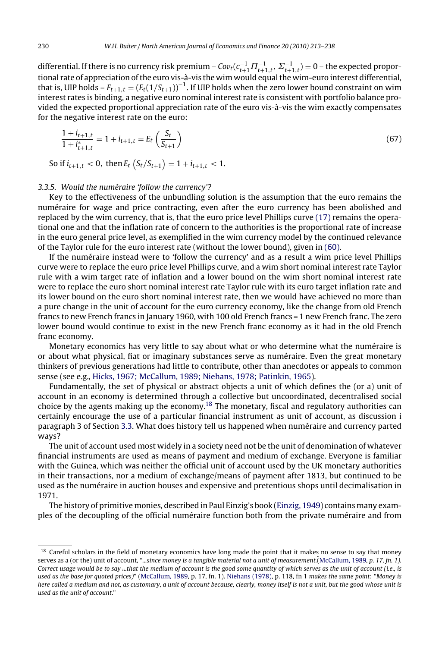differential. If there is no currency risk premium –  $Cov_t$ ( $c_{t+1}^{-1}$   $\pi_{t+1,t}^{-1}$ ,  $\Sigma_{t+1,t}^{-1}$ ) = 0 – the expected propor-<br>tional rate of appreciation of the eurovic à vis the wim would equal the wim, euro interest d tional rate of appreciation of the euro vis-à-vis the wim would equal the wim-euro interest differential, that is, UIP holds –  $F_{t+1,t} = (E_t(1/S_{t+1}))^{-1}$ . If UIP holds when the zero lower bound constraint on wim<br>interest rates is binding a negative euro nominal interest rate is consistent with portfolio balance prointerest rates is binding, a negative euro nominal interest rate is consistent with portfolio balance provided the expected proportional appreciation rate of the euro vis-à-vis the wim exactly compensates for the negative interest rate on the euro:

$$
\frac{1 + i_{t+1,t}}{1 + i_{t+1,t}^*} = 1 + i_{t+1,t} = E_t \left( \frac{S_t}{S_{t+1}} \right)
$$
\n(67)

So if  $i_{t+1,t} < 0$ , then  $E_t(S_t/S_{t+1}) = 1 + i_{t+1,t} < 1$ .

# 3.3.5. Would the numéraire 'follow the currency'?

Key to the effectiveness of the unbundling solution is the assumption that the euro remains the numéraire for wage and price contracting, even after the euro currency has been abolished and replaced by the wim currency, that is, that the euro price level Phillips curve [\(17\)](#page-6-0) remains the operational one and that the inflation rate of concern to the authorities is the proportional rate of increase in the euro general price level, as exemplified in the wim currency model by the continued relevance of the Taylor rule for the euro interest rate (without the lower bound), given in [\(60\).](#page-15-0)

If the numéraire instead were to 'follow the currency' and as a result a wim price level Phillips curve were to replace the euro price level Phillips curve, and a wim short nominal interest rate Taylor rule with a wim target rate of inflation and a lower bound on the wim short nominal interest rate were to replace the euro short nominal interest rate Taylor rule with its euro target inflation rate and its lower bound on the euro short nominal interest rate, then we would have achieved no more than a pure change in the unit of account for the euro currency economy, like the change from old French francs to new French francs in January 1960, with 100 old French francs = 1 new French franc. The zero lower bound would continue to exist in the new French franc economy as it had in the old French franc economy.

Monetary economics has very little to say about what or who determine what the numéraire is or about what physical, fiat or imaginary substances serve as numéraire. Even the great monetary thinkers of previous generations had little to contribute, other than anecdotes or appeals to common sense (see e.g., [Hicks, 1967; McCallum, 1989; Niehans, 1978; Patinkin, 1965\).](#page-24-0)

Fundamentally, the set of physical or abstract objects a unit of which defines the (or a) unit of account in an economy is determined through a collective but uncoordinated, decentralised social choice by the agents making up the economy.<sup>18</sup> The monetary, fiscal and regulatory authorities can certainly encourage the use of a particular financial instrument as unit of account, as discussion i paragraph 3 of Section [3.3. W](#page-13-0)hat does history tell us happened when numéraire and currency parted ways?

The unit of account used most widely in a society need not be the unit of denomination of whatever financial instruments are used as means of payment and medium of exchange. Everyone is familiar with the Guinea, which was neither the official unit of account used by the UK monetary authorities in their transactions, nor a medium of exchange/means of payment after 1813, but continued to be used as the numéraire in auction houses and expensive and pretentious shops until decimalisation in 1971.

The history of primitive monies, described in Paul Einzig's book [\(Einzig, 1949\) c](#page-24-0)ontains many examples of the decoupling of the official numéraire function both from the private numéraire and from

<sup>&</sup>lt;sup>18</sup> Careful scholars in the field of monetary economics have long made the point that it makes no sense to say that money serves as a (or the) unit of account, "...since money is a tangible material not a unit of measurement. ([McCallum, 1989](#page-24-0), p. 17, fn. 1). Correct usage would be to say …that the medium of account is the good some quantity of which serves as the unit of account (i.e., is used as the base for quoted prices)" ([McCallum, 1989, p](#page-24-0). 17, fn. 1). [Niehans \(1978\), p](#page-24-0). 118, fn 1 makes the same point: "Money is here called a medium and not, as customary, a unit of account because, clearly, money itself is not a unit, but the good whose unit is used as the unit of account."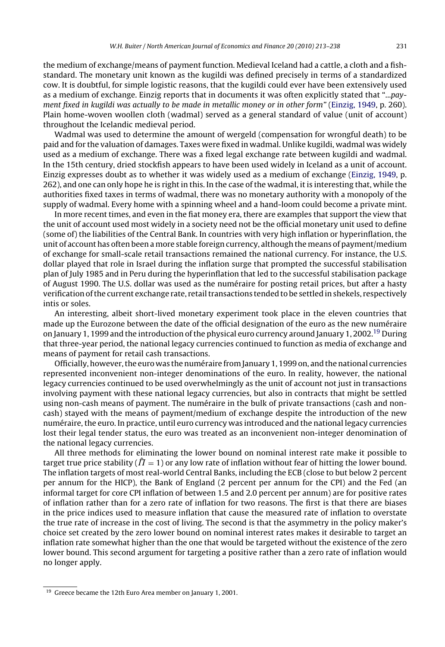the medium of exchange/means of payment function. Medieval Iceland had a cattle, a cloth and a fishstandard. The monetary unit known as the kugildi was defined precisely in terms of a standardized cow. It is doubtful, for simple logistic reasons, that the kugildi could ever have been extensively used as a medium of exchange. Einzig reports that in documents it was often explicitly stated that "...payment fixed in kugildi was actually to be made in metallic money or in other form" ([Einzig, 1949, p](#page-24-0). 260). Plain home-woven woollen cloth (wadmal) served as a general standard of value (unit of account) throughout the Icelandic medieval period.

Wadmal was used to determine the amount of wergeld (compensation for wrongful death) to be paid and for the valuation of damages. Taxes were fixed in wadmal. Unlike kugildi, wadmal was widely used as a medium of exchange. There was a fixed legal exchange rate between kugildi and wadmal. In the 15th century, dried stockfish appears to have been used widely in Iceland as a unit of account. Einzig expresses doubt as to whether it was widely used as a medium of exchange ([Einzig, 1949, p](#page-24-0). 262), and one can only hope he is right in this. In the case of the wadmal, it is interesting that, while the authorities fixed taxes in terms of wadmal, there was no monetary authority with a monopoly of the supply of wadmal. Every home with a spinning wheel and a hand-loom could become a private mint.

In more recent times, and even in the fiat money era, there are examples that support the view that the unit of account used most widely in a society need not be the official monetary unit used to define (some of) the liabilities of the Central Bank. In countries with very high inflation or hyperinflation, the unit of account has often been a more stable foreign currency, although the means of payment/medium of exchange for small-scale retail transactions remained the national currency. For instance, the U.S. dollar played that role in Israel during the inflation surge that prompted the successful stabilisation plan of July 1985 and in Peru during the hyperinflation that led to the successful stabilisation package of August 1990. The U.S. dollar was used as the numéraire for posting retail prices, but after a hasty verification of the current exchange rate, retail transactions tended to be settled in shekels, respectively intis or soles.

An interesting, albeit short-lived monetary experiment took place in the eleven countries that made up the Eurozone between the date of the official designation of the euro as the new numéraire on January 1, 1999 and the introduction of the physical euro currency around January 1, 2002.<sup>19</sup> During that three-year period, the national legacy currencies continued to function as media of exchange and means of payment for retail cash transactions.

Officially, however, the euro was the numéraire from January 1, 1999 on, and the national currencies represented inconvenient non-integer denominations of the euro. In reality, however, the national legacy currencies continued to be used overwhelmingly as the unit of account not just in transactions involving payment with these national legacy currencies, but also in contracts that might be settled using non-cash means of payment. The numéraire in the bulk of private transactions (cash and noncash) stayed with the means of payment/medium of exchange despite the introduction of the new numéraire, the euro. In practice, until euro currency was introduced and the national legacy currencies lost their legal tender status, the euro was treated as an inconvenient non-integer denomination of the national legacy currencies.

All three methods for eliminating the lower bound on nominal interest rate make it possible to target true price stability ( $\hat{I}(\hat{I}) = 1$ ) or any low rate of inflation without fear of hitting the lower bound. The inflation targets of most real-world Central Banks, including the ECB (close to but below 2 percent per annum for the HICP), the Bank of England (2 percent per annum for the CPI) and the Fed (an informal target for core CPI inflation of between 1.5 and 2.0 percent per annum) are for positive rates of inflation rather than for a zero rate of inflation for two reasons. The first is that there are biases in the price indices used to measure inflation that cause the measured rate of inflation to overstate the true rate of increase in the cost of living. The second is that the asymmetry in the policy maker's choice set created by the zero lower bound on nominal interest rates makes it desirable to target an inflation rate somewhat higher than the one that would be targeted without the existence of the zero lower bound. This second argument for targeting a positive rather than a zero rate of inflation would no longer apply.

<sup>&</sup>lt;sup>19</sup> Greece became the 12th Euro Area member on January 1, 2001.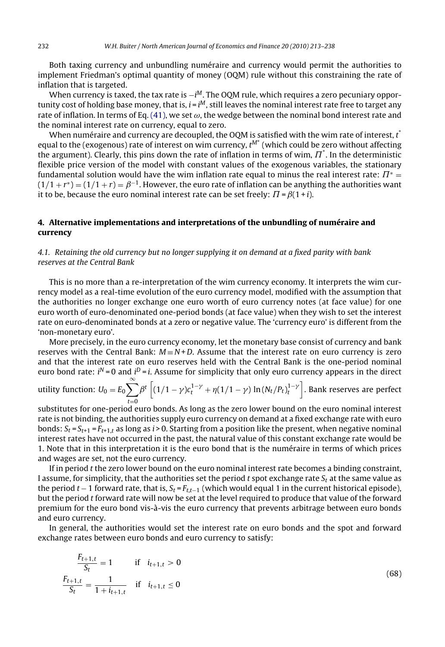<span id="page-19-0"></span>Both taxing currency and unbundling numéraire and currency would permit the authorities to implement Friedman's optimal quantity of money (OQM) rule without this constraining the rate of inflation that is targeted.

When currency is taxed, the tax rate is  $-i^\mathcal{M}.$  The OQM rule, which requires a zero pecuniary opportunity cost of holding base money, that is,  $i$  =  $i^\mathsf{M}$ , still leaves the nominal interest rate free to target any rate of inflation. In terms of Eq.  $(41)$ , we set  $\omega$ , the wedge between the nominal bond interest rate and the nominal interest rate on currency, equal to zero.

When numéraire and currency are decoupled, the OQM is satisfied with the wim rate of interest,  $t^*$ equal to the (exogenous) rate of interest on wim currency,  $t^{M^*}$  (which could be zero without affecting the argument). Clearly, this pins down the rate of inflation in terms of wim,  $\Pi^*$ . In the deterministic flexible price version of the model with constant values of the exogenous variables, the stationary fundamental solution would have the wim inflation rate equal to minus the real interest rate:  $\Pi^*$  =  $(1/1 + r^*) = (1/1 + r) = \beta^{-1}$ . However, the euro rate of inflation can be anything the authorities want it to be, because the euro nominal interest rate can be set freely:  $\Pi = \beta(1 + i)$ .

# **4. Alternative implementations and interpretations of the unbundling of numéraire and currency**

# 4.1. Retaining the old currency but no longer supplying it on demand at a fixed parity with bank reserves at the Central Bank

This is no more than a re-interpretation of the wim currency economy. It interprets the wim currency model as a real-time evolution of the euro currency model, modified with the assumption that the authorities no longer exchange one euro worth of euro currency notes (at face value) for one euro worth of euro-denominated one-period bonds (at face value) when they wish to set the interest rate on euro-denominated bonds at a zero or negative value. The 'currency euro' is different from the 'non-monetary euro'.

More precisely, in the euro currency economy, let the monetary base consist of currency and bank reserves with the Central Bank:  $M = N + D$ . Assume that the interest rate on euro currency is zero and that the interest rate on euro reserves held with the Central Bank is the one-period nominal euro bond rate:  $i^N = 0$  and  $i^D = i$ . Assume for simplicity that only euro currency appears in the direct

utility function: 
$$
U_0 = E_0 \sum_{t=0}^{\infty} \beta^t \left[ (1/1 - \gamma) c_t^{1-\gamma} + \eta (1/1 - \gamma) \ln(N_t/P_t)_t^{1-\gamma} \right]
$$
. Bank reserves are perfect

t=0 substitutes for one-period euro bonds. As long as the zero lower bound on the euro nominal interest rate is not binding, the authorities supply euro currency on demand at a fixed exchange rate with euro bonds:  $S_t = S_{t+1} = F_{t+1,t}$  as long as i > 0. Starting from a position like the present, when negative nominal interest rates have not occurred in the past, the natural value of this constant exchange rate would be 1. Note that in this interpretation it is the euro bond that is the numéraire in terms of which prices and wages are set, not the euro currency.

If in period t the zero lower bound on the euro nominal interest rate becomes a binding constraint, I assume, for simplicity, that the authorities set the period t spot exchange rate  $S_t$  at the same value as the period  $t - 1$  forward rate, that is,  $S_t = F_{t,t-1}$  (which would equal 1 in the current historical episode), but the period t forward rate will now be set at the level required to produce that value of the forward premium for the euro bond vis-à-vis the euro currency that prevents arbitrage between euro bonds and euro currency.

In general, the authorities would set the interest rate on euro bonds and the spot and forward exchange rates between euro bonds and euro currency to satisfy:

$$
\frac{F_{t+1,t}}{S_t} = 1 \qquad \text{if} \quad i_{t+1,t} > 0
$$
  

$$
\frac{F_{t+1,t}}{S_t} = \frac{1}{1 + i_{t+1,t}} \quad \text{if} \quad i_{t+1,t} \le 0
$$
 (68)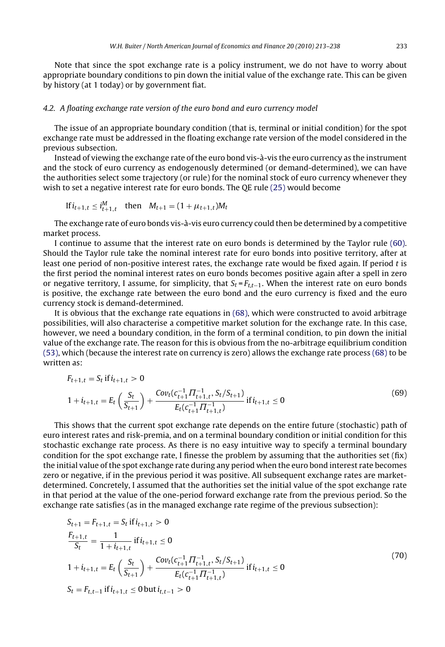<span id="page-20-0"></span>Note that since the spot exchange rate is a policy instrument, we do not have to worry about appropriate boundary conditions to pin down the initial value of the exchange rate. This can be given by history (at 1 today) or by government fiat.

# 4.2. A floating exchange rate version of the euro bond and euro currency model

The issue of an appropriate boundary condition (that is, terminal or initial condition) for the spot exchange rate must be addressed in the floating exchange rate version of the model considered in the previous subsection.

Instead of viewing the exchange rate of the euro bond vis-à-vis the euro currency as the instrument and the stock of euro currency as endogenously determined (or demand-determined), we can have the authorities select some trajectory (or rule) for the nominal stock of euro currency whenever they wish to set a negative interest rate for euro bonds. The QE rule [\(25\)](#page-7-0) would become

If 
$$
i_{t+1,t} \leq i_{t+1,t}^M
$$
 then  $M_{t+1} = (1 + \mu_{t+1,t})M_t$ 

 $\mathbb{R}^2$ 

The exchange rate of euro bonds vis-à-vis euro currency could then be determined by a competitive market process.

I continue to assume that the interest rate on euro bonds is determined by the Taylor rule [\(60\).](#page-15-0) Should the Taylor rule take the nominal interest rate for euro bonds into positive territory, after at least one period of non-positive interest rates, the exchange rate would be fixed again. If period t is the first period the nominal interest rates on euro bonds becomes positive again after a spell in zero or negative territory, I assume, for simplicity, that  $S_t = F_{t,t-1}$ . When the interest rate on euro bonds is positive, the exchange rate between the euro bond and the euro currency is fixed and the euro currency stock is demand-determined.

It is obvious that the exchange rate equations in [\(68\), w](#page-19-0)hich were constructed to avoid arbitrage possibilities, will also characterise a competitive market solution for the exchange rate. In this case, however, we need a boundary condition, in the form of a terminal condition, to pin down the initial value of the exchange rate. The reason for this is obvious from the no-arbitrage equilibrium condition [\(53\), w](#page-14-0)hich (because the interest rate on currency is zero) allows the exchange rate process [\(68\)](#page-19-0) to be written as:

$$
F_{t+1,t} = S_t \text{ if } i_{t+1,t} > 0
$$
  

$$
1 + i_{t+1,t} = E_t \left( \frac{S_t}{S_{t+1}} \right) + \frac{Cov_t (c_{t+1}^{-1} \Pi_{t+1,t}^{-1}, S_t / S_{t+1})}{E_t (c_{t+1}^{-1} \Pi_{t+1,t}^{-1})} \text{ if } i_{t+1,t} \le 0
$$
 (69)

This shows that the current spot exchange rate depends on the entire future (stochastic) path of euro interest rates and risk-premia, and on a terminal boundary condition or initial condition for this stochastic exchange rate process. As there is no easy intuitive way to specify a terminal boundary condition for the spot exchange rate, I finesse the problem by assuming that the authorities set (fix) the initial value of the spot exchange rate during any period when the euro bond interest rate becomes zero or negative, if in the previous period it was positive. All subsequent exchange rates are marketdetermined. Concretely, I assumed that the authorities set the initial value of the spot exchange rate in that period at the value of the one-period forward exchange rate from the previous period. So the exchange rate satisfies (as in the managed exchange rate regime of the previous subsection):

$$
S_{t+1} = F_{t+1,t} = S_t \text{ if } i_{t+1,t} > 0
$$
  
\n
$$
\frac{F_{t+1,t}}{S_t} = \frac{1}{1 + i_{t+1,t}} \text{ if } i_{t+1,t} \le 0
$$
  
\n
$$
1 + i_{t+1,t} = E_t \left( \frac{S_t}{S_{t+1}} \right) + \frac{Cov_t (c_{t+1}^{-1} \Pi_{t+1,t}^{-1}, S_t / S_{t+1})}{E_t (c_{t+1}^{-1} \Pi_{t+1,t}^{-1})} \text{ if } i_{t+1,t} \le 0
$$
  
\n
$$
S_t = F_{t,t-1} \text{ if } i_{t+1,t} \le 0 \text{ but } i_{t,t-1} > 0
$$
\n(70)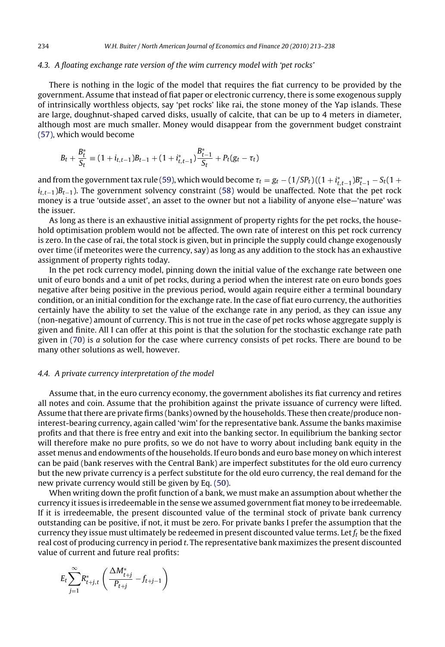#### <span id="page-21-0"></span>4.3. A floating exchange rate version of the wim currency model with 'pet rocks'

There is nothing in the logic of the model that requires the fiat currency to be provided by the government. Assume that instead of fiat paper or electronic currency, there is some exogenous supply of intrinsically worthless objects, say 'pet rocks' like rai, the stone money of the Yap islands. These are large, doughnut-shaped carved disks, usually of calcite, that can be up to 4 meters in diameter, although most are much smaller. Money would disappear from the government budget constraint [\(57\), w](#page-15-0)hich would become

$$
B_t + \frac{B_t^*}{S_t} = (1 + i_{t,t-1})B_{t-1} + (1 + i_{t,t-1}^*)\frac{B_{t-1}^*}{S_t} + P_t(g_t - \tau_t)
$$

and from the government tax rule [\(59\), w](#page-15-0)hich would become  $\tau_t = g_t - (1/SP_t)((1 + i_{t,t-1}^*)B_{t-1}^* - S_t(1 + i_{t,t-1}^*)B_{t-1}^* - S_t(1 + i_{t,t-1}^*)B_{t-1}^* - S_t(1 + i_{t,t-1}^*)B_{t-1}^*$  $i_{t,t-1}$ ,  $B_{t-1}$ ). The government solvency constraint [\(58\)](#page-15-0) would be unaffected. Note that the pet rock money is a true 'outside asset', an asset to the owner but not a liability of anyone else—'nature' was the issuer.

As long as there is an exhaustive initial assignment of property rights for the pet rocks, the household optimisation problem would not be affected. The own rate of interest on this pet rock currency is zero. In the case of rai, the total stock is given, but in principle the supply could change exogenously over time (if meteorites were the currency, say) as long as any addition to the stock has an exhaustive assignment of property rights today.

In the pet rock currency model, pinning down the initial value of the exchange rate between one unit of euro bonds and a unit of pet rocks, during a period when the interest rate on euro bonds goes negative after being positive in the previous period, would again require either a terminal boundary condition, or an initial condition for the exchange rate. In the case of fiat euro currency, the authorities certainly have the ability to set the value of the exchange rate in any period, as they can issue any (non-negative) amount of currency. This is not true in the case of pet rocks whose aggregate supply is given and finite. All I can offer at this point is that the solution for the stochastic exchange rate path given in [\(70\)](#page-20-0) is a solution for the case where currency consists of pet rocks. There are bound to be many other solutions as well, however.

# 4.4. A private currency interpretation of the model

Assume that, in the euro currency economy, the government abolishes its fiat currency and retires all notes and coin. Assume that the prohibition against the private issuance of currency were lifted. Assume that there are private firms (banks) owned by the households. These then create/produce noninterest-bearing currency, again called 'wim' for the representative bank. Assume the banks maximise profits and that there is free entry and exit into the banking sector. In equilibrium the banking sector will therefore make no pure profits, so we do not have to worry about including bank equity in the asset menus and endowments of the households. If euro bonds and euro base money on which interest can be paid (bank reserves with the Central Bank) are imperfect substitutes for the old euro currency but the new private currency is a perfect substitute for the old euro currency, the real demand for the new private currency would still be given by Eq. [\(50\).](#page-14-0)

When writing down the profit function of a bank, we must make an assumption about whether the currency it issues is irredeemable in the sense we assumed government fiat money to be irredeemable. If it is irredeemable, the present discounted value of the terminal stock of private bank currency outstanding can be positive, if not, it must be zero. For private banks I prefer the assumption that the currency they issue must ultimately be redeemed in present discounted value terms. Let  $f_t$  be the fixed real cost of producing currency in period t. The representative bank maximizes the present discounted value of current and future real profits:

$$
E_t \sum_{j=1}^{\infty} R_{t+j,t}^* \left( \frac{\Delta M_{t+j}^*}{P_{t+j}} - f_{t+j-1} \right)
$$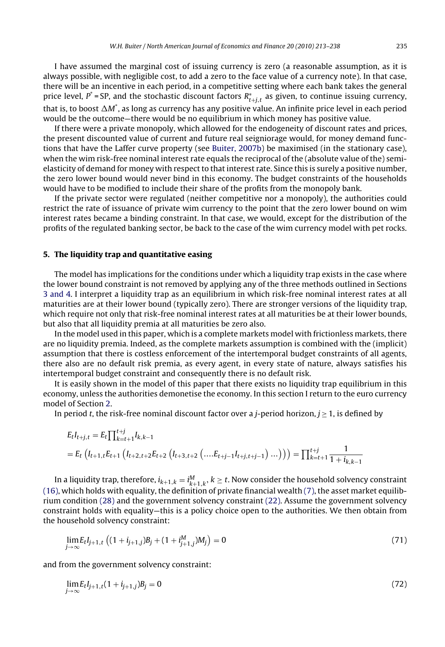<span id="page-22-0"></span>I have assumed the marginal cost of issuing currency is zero (a reasonable assumption, as it is always possible, with negligible cost, to add a zero to the face value of a currency note). In that case, there will be an incentive in each period, in a competitive setting where each bank takes the general price level,  $P^{\dagger}$  = SP, and the stochastic discount factors  $R_{t+j,t}^*$  as given, to continue issuing currency,<br>that is to beast AM<sup>\*</sup> as larges surror as has any positive value. An infinite griea layel in each posited that is, to boost  $\Delta M^*$ , as long as currency has any positive value. An infinite price level in each period would be the outcome—there would be no equilibrium in which money has positive value.

If there were a private monopoly, which allowed for the endogeneity of discount rates and prices, the present discounted value of current and future real seigniorage would, for money demand functions that have the Laffer curve property (see [Buiter, 2007b\)](#page-24-0) be maximised (in the stationary case), when the wim risk-free nominal interest rate equals the reciprocal of the (absolute value of the) semielasticity of demand for money with respect to that interest rate. Since this is surely a positive number, the zero lower bound would never bind in this economy. The budget constraints of the households would have to be modified to include their share of the profits from the monopoly bank.

If the private sector were regulated (neither competitive nor a monopoly), the authorities could restrict the rate of issuance of private wim currency to the point that the zero lower bound on wim interest rates became a binding constraint. In that case, we would, except for the distribution of the profits of the regulated banking sector, be back to the case of the wim currency model with pet rocks.

# **5. The liquidity trap and quantitative easing**

The model has implications for the conditions under which a liquidity trap exists in the case where the lower bound constraint is not removed by applying any of the three methods outlined in Sections [3 and 4. I](#page-9-0) interpret a liquidity trap as an equilibrium in which risk-free nominal interest rates at all maturities are at their lower bound (typically zero). There are stronger versions of the liquidity trap, which require not only that risk-free nominal interest rates at all maturities be at their lower bounds, but also that all liquidity premia at all maturities be zero also.

In the model used in this paper, which is a complete markets model with frictionless markets, there are no liquidity premia. Indeed, as the complete markets assumption is combined with the (implicit) assumption that there is costless enforcement of the intertemporal budget constraints of all agents, there also are no default risk premia, as every agent, in every state of nature, always satisfies his intertemporal budget constraint and consequently there is no default risk.

It is easily shown in the model of this paper that there exists no liquidity trap equilibrium in this economy, unless the authorities demonetise the economy. In this section I return to the euro currency model of Section [2.](#page-3-0)

In period t, the risk-free nominal discount factor over a *j*-period horizon,  $j > 1$ , is defined by

$$
E_t I_{t+j,t} = E_t \prod_{k=t+1}^{t+j} I_{k,k-1}
$$
  
=  $E_t \left( I_{t+1,t} E_{t+1} \left( I_{t+2,t+2} E_{t+2} \left( I_{t+3,t+2} \left( \ldots E_{t+j-1} I_{t+j,t+j-1} \right) \ldots \right) \right) \right) = \prod_{k=t+1}^{t+j} \frac{1}{1 + i_{k,k-1}}$ 

In a liquidity trap, therefore,  $i_{k+1,k} = i_{k+1,k}^M$ ,  $k \ge t$ . Now consider the household solvency constraint  $k$ ) which holds with equality the definition of private financial wealth (7) the asset market equilib-[\(16\), w](#page-5-0)hich holds with equality, the definition of private financial wealth [\(7\), t](#page-4-0)he asset market equilibrium condition [\(28\)](#page-8-0) and the government solvency constraint [\(22\). A](#page-7-0)ssume the government solvency constraint holds with equality—this is a policy choice open to the authorities. We then obtain from the household solvency constraint:

$$
\lim_{j \to \infty} E_t I_{j+1,t} \left( (1 + i_{j+1,j}) B_j + (1 + i_{j+1,j}^M) M_j \right) = 0 \tag{71}
$$

and from the government solvency constraint:

$$
\lim_{j \to \infty} E_t I_{j+1,t} (1 + i_{j+1,j}) B_j = 0 \tag{72}
$$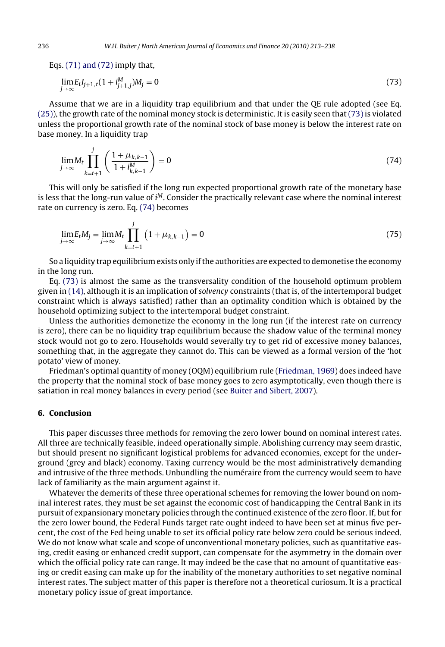Eqs. [\(71\) and \(72\)](#page-22-0) imply that,

$$
\lim_{j \to \infty} E_t I_{j+1,t} (1 + i_{j+1,j}^M) M_j = 0
$$
\n(73)

Assume that we are in a liquidity trap equilibrium and that under the QE rule adopted (see Eq. [\(25\)\),](#page-7-0) the growth rate of the nominal money stock is deterministic. It is easily seen that (73) is violated unless the proportional growth rate of the nominal stock of base money is below the interest rate on base money. In a liquidity trap

$$
\lim_{j \to \infty} M_t \prod_{k=t+1}^{j} \left( \frac{1 + \mu_{k,k-1}}{1 + i_{k,k-1}^M} \right) = 0
$$
\n(74)

This will only be satisfied if the long run expected proportional growth rate of the monetary base is less that the long-run value of  $i^\mathcal{M}.$  Consider the practically relevant case where the nominal interest rate on currency is zero. Eq. (74) becomes

$$
\lim_{j \to \infty} E_t M_j = \lim_{j \to \infty} M_t \prod_{k=t+1}^j \left( 1 + \mu_{k,k-1} \right) = 0
$$
\n(75)

So a liquidity trap equilibrium exists only if the authorities are expected to demonetise the economy in the long run.

Eq. (73) is almost the same as the transversality condition of the household optimum problem given in [\(14\), a](#page-5-0)lthough it is an implication of solvency constraints (that is, of the intertemporal budget constraint which is always satisfied) rather than an optimality condition which is obtained by the household optimizing subject to the intertemporal budget constraint.

Unless the authorities demonetize the economy in the long run (if the interest rate on currency is zero), there can be no liquidity trap equilibrium because the shadow value of the terminal money stock would not go to zero. Households would severally try to get rid of excessive money balances, something that, in the aggregate they cannot do. This can be viewed as a formal version of the 'hot potato' view of money.

Friedman's optimal quantity of money (OQM) equilibrium rule ([Friedman, 1969\) d](#page-24-0)oes indeed have the property that the nominal stock of base money goes to zero asymptotically, even though there is satiation in real money balances in every period (see [Buiter and Sibert, 2007\).](#page-24-0)

# **6. Conclusion**

This paper discusses three methods for removing the zero lower bound on nominal interest rates. All three are technically feasible, indeed operationally simple. Abolishing currency may seem drastic, but should present no significant logistical problems for advanced economies, except for the underground (grey and black) economy. Taxing currency would be the most administratively demanding and intrusive of the three methods. Unbundling the numéraire from the currency would seem to have lack of familiarity as the main argument against it.

Whatever the demerits of these three operational schemes for removing the lower bound on nominal interest rates, they must be set against the economic cost of handicapping the Central Bank in its pursuit of expansionary monetary policies through the continued existence of the zero floor. If, but for the zero lower bound, the Federal Funds target rate ought indeed to have been set at minus five percent, the cost of the Fed being unable to set its official policy rate below zero could be serious indeed. We do not know what scale and scope of unconventional monetary policies, such as quantitative easing, credit easing or enhanced credit support, can compensate for the asymmetry in the domain over which the official policy rate can range. It may indeed be the case that no amount of quantitative easing or credit easing can make up for the inability of the monetary authorities to set negative nominal interest rates. The subject matter of this paper is therefore not a theoretical curiosum. It is a practical monetary policy issue of great importance.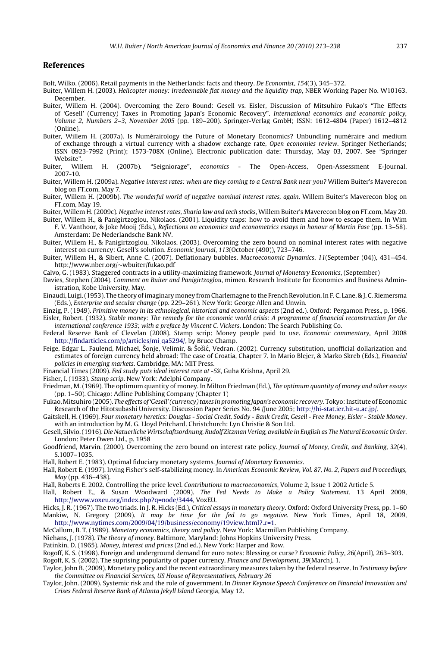#### <span id="page-24-0"></span>**References**

Bolt, Wilko. (2006). Retail payments in the Netherlands: facts and theory. De Economist, 154(3), 345–372.

- Buiter, Willem H. (2003). Helicopter money: irredeemable fiat money and the liquidity trap, NBER Working Paper No. W10163, December.
- Buiter, Willem H. (2004). Overcoming the Zero Bound: Gesell vs. Eisler, Discussion of Mitsuhiro Fukao's "The Effects of 'Gesell' (Currency) Taxes in Promoting Japan's Economic Recovery". International economics and economic policy, Volume 2, Numbers 2–3, November 2005 (pp. 189–200). Springer-Verlag GmbH; ISSN: 1612-4804 (Paper) 1612–4812 (Online).
- Buiter, Willem H. (2007a). Is Numérairology the Future of Monetary Economics? Unbundling numéraire and medium of exchange through a virtual currency with a shadow exchange rate, Open economies review. Springer Netherlands; ISSN 0923-7992 (Print); 1573-708X (Online). Electronic publication date: Thursday, May 03, 2007. See "Springer Website".
- Buiter, Willem H. (2007b). "Seigniorage", economics The Open-Access, Open-Assessment E-Journal, 2007-10.
- Buiter, Willem H. (2009a). Negative interest rates: when are they coming to a Central Bank near you? Willem Buiter's Maverecon blog on FT.com, May 7.
- Buiter, Willem H. (2009b). The wonderful world of negative nominal interest rates, again. Willem Buiter's Maverecon blog on FT.com, May 19.

Buiter, Willem H. (2009c). Negative interest rates, Sharia law and tech stocks, Willem Buiter's Maverecon blog on FT.com, May 20. Buiter, Willem H., & Panigirtzoglou, Nikolaos. (2001). Liquidity traps: how to avoid them and how to escape them. In Wim

- F. V. Vanthoor, & Joke Mooij (Eds.), Reflections on economics and econometrics essays in honour of Martin Fase (pp. 13–58). Amsterdam: De Nederlandsche Bank NV.
- Buiter, Willem H., & Panigirtzoglou, Nikolaos. (2003). Overcoming the zero bound on nominal interest rates with negative interest on currency: Gesell's solution. Economic Journal, 113(October (490)), 723–746.
- Buiter, Willem H., & Sibert, Anne C. (2007). Deflationary bubbles. Macroeconomic Dynamics, 11(September (04)), 431–454. http://www.nber.org/∼wbuiter/fukao.pdf

Calvo, G. (1983). Staggered contracts in a utility-maximizing framework. Journal of Monetary Economics, (September)

- Davies, Stephen (2004). Comment on Buiter and Panigirtzoglou, mimeo. Research Institute for Economics and Business Administration, Kobe University, May.
- Einaudi, Luigi. (1953). The theory of imaginary money from Charlemagne to the French Revolution. In F. C. Lane, & J. C. Riemersma (Eds.), Enterprise and secular change (pp. 229–261). New York: George Allen and Unwin.
- Einzig, P. (1949). Primitive money in its ethnological, historical and economic aspects (2nd ed.). Oxford: Pergamon Press., p. 1966. Eisler, Robert. (1932). Stable money: The remedy for the economic world crisis: A programme of financial reconstruction for the international conference 1933; with a preface by Vincent C. Vickers. London: The Search Publishing Co.
- Federal Reserve Bank of Clevelan (2008). Stamp scrip: Money people paid to use. Economic commentary, April 2008 [http://findarticles.com/p/articles/mi](http://findarticles.com/p/articles/mi_qa5294/) qa5294/, by Bruce Champ.
- Feige, Edgar L., Faulend, Michael, Šonje, Velimir, & Šošić, Vedran. (2002). Currency substitution, unofficial dollarization and estimates of foreign currency held abroad: The case of Croatia, Chapter 7. In Mario Blejer, & Marko Skreb (Eds.), Financial policies in emerging markets. Cambridge, MA: MIT Press.
- Financial Times (2009). Fed study puts ideal interest rate at -5%, Guha Krishna, April 29.

Fisher, I. (1933). Stamp scrip. New York: Adelphi Company.

- Friedman, M. (1969). The optimum quantity of money. In Milton Friedman (Ed.), The optimum quantity of money and other essays (pp. 1–50). Chicago: Adline Publishing Company (Chapter 1)
- Fukao, Mitsuhiro (2005). The effects of 'Gesell' (currency) taxes in promoting Japan's economic recovery. Tokyo: Institute of Economic Research of the Hitotsubashi University. Discussion Paper Series No. 94 /June 2005; [http://hi-stat.ier.hit-u.ac.jp/.](http://hi-stat.ier.hit-u.ac.jp/)
- Gaitskell, H. (1969), Four monetary heretics: Douglas Social Credit, Soddy Bank Credit, Gesell Free Money, Eisler Stable Money, with an introduction by M. G. Lloyd Pritchard. Christchurch: Lyn Christie & Son Ltd.
- Gesell, Silvio. (1916). Die Natuerliche Wirtschaftsordnung, Rudolf Zitzman Verlag, available in English as The Natural Economic Order. London: Peter Owen Ltd., p. 1958
- Goodfriend, Marvin. (2000). Overcoming the zero bound on interest rate policy. Journal of Money, Credit, and Banking, 32(4), S.1007–1035.
- Hall, Robert E. (1983). Optimal fiduciary monetary systems. Journal of Monetary Economics.
- Hall, Robert E. (1997). Irving Fisher's self-stabilizing money. In American Economic Review, Vol. 87, No. 2, Papers and Proceedings, May (pp. 436–438).
- Hall, Roberts E. 2002. Controlling the price level. Contributions to macroeconomics, Volume 2, Issue 1 2002 Article 5.
- Hall, Robert E., & Susan Woodward (2009). The Fed Needs to Make a Policy Statement. 13 April 2009, [http://www.voxeu.org/index.php?q=node/3444](http://www.voxeu.org/index.php%3Fq=node/3444), VoxEU.
- Hicks, J. R. (1967). The two triads. In J. R. Hicks (Ed.), Critical essays in monetary theory. Oxford: Oxford University Press, pp. 1–60 Mankiw, N. Gregory (2009). It may be time for the fed to go negative. New York Times, April 18, 2009, [http://www.nytimes.com/2009/04/19/business/economy/19view.html?](http://www.nytimes.com/2009/04/19/business/economy/19view.html%3F_r=1)\_r=1.
- McCallum, B. T. (1989). Monetary economics, theory and policy. New York: Macmillan Publishing Company.
- Niehans, J. (1978). The theory of money. Baltimore, Maryland: Johns Hopkins University Press.
- Patinkin, D. (1965). Money, interest and prices (2nd ed.). New York: Harper and Row.
- Rogoff, K. S. (1998). Foreign and underground demand for euro notes: Blessing or curse? Economic Policy, 26(April), 263–303.
- Rogoff, K. S. (2002). The suprising popularity of paper currency. Finance and Development, 39(March), 1.
- Taylor, John B. (2009). Monetary policy and the recent extraordinary measures taken by the federal reserve. In Testimony before the Committee on Financial Services, US House of Representatives, February 26
- Taylor, John. (2009). Systemic risk and the role of government. In Dinner Keynote Speech Conference on Financial Innovation and Crises Federal Reserve Bank of Atlanta Jekyll Island Georgia, May 12.